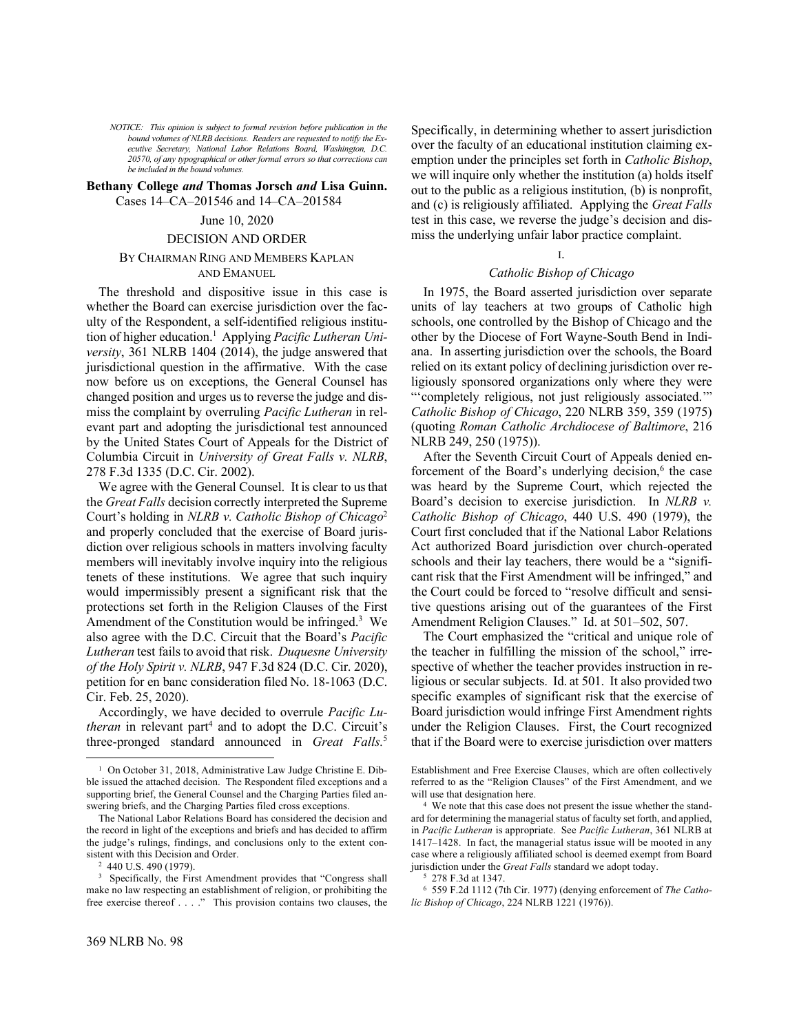*NOTICE: This opinion is subject to formal revision before publication in the bound volumes of NLRB decisions. Readers are requested to notify the Executive Secretary, National Labor Relations Board, Washington, D.C. 20570, of any typographical or other formal errors so that corrections can be included in the bound volumes.*

# **Bethany College** *and* **Thomas Jorsch** *and* **Lisa Guinn.**  Cases 14–CA–201546 and 14–CA–201584

### June 10, 2020

### DECISION AND ORDER

# BY CHAIRMAN RING AND MEMBERS KAPLAN AND EMANUEL

The threshold and dispositive issue in this case is whether the Board can exercise jurisdiction over the faculty of the Respondent, a self-identified religious institution of higher education. 1 Applying *Pacific Lutheran University*, 361 NLRB 1404 (2014), the judge answered that jurisdictional question in the affirmative. With the case now before us on exceptions, the General Counsel has changed position and urges us to reverse the judge and dismiss the complaint by overruling *Pacific Lutheran* in relevant part and adopting the jurisdictional test announced by the United States Court of Appeals for the District of Columbia Circuit in *University of Great Falls v. NLRB*, 278 F.3d 1335 (D.C. Cir. 2002).

We agree with the General Counsel. It is clear to us that the *Great Falls* decision correctly interpreted the Supreme Court's holding in *NLRB v. Catholic Bishop of Chicago*<sup>2</sup> and properly concluded that the exercise of Board jurisdiction over religious schools in matters involving faculty members will inevitably involve inquiry into the religious tenets of these institutions. We agree that such inquiry would impermissibly present a significant risk that the protections set forth in the Religion Clauses of the First Amendment of the Constitution would be infringed.<sup>3</sup> We also agree with the D.C. Circuit that the Board's *Pacific Lutheran* test fails to avoid that risk. *Duquesne University of the Holy Spirit v. NLRB*, 947 F.3d 824 (D.C. Cir. 2020), petition for en banc consideration filed No. 18-1063 (D.C. Cir. Feb. 25, 2020).

Accordingly, we have decided to overrule *Pacific Lutheran* in relevant part<sup>4</sup> and to adopt the D.C. Circuit's three-pronged standard announced in *Great Falls.*<sup>5</sup> 

<sup>2</sup> 440 U.S. 490 (1979).

Specifically, in determining whether to assert jurisdiction over the faculty of an educational institution claiming exemption under the principles set forth in *Catholic Bishop*, we will inquire only whether the institution (a) holds itself out to the public as a religious institution, (b) is nonprofit, and (c) is religiously affiliated. Applying the *Great Falls*  test in this case, we reverse the judge's decision and dismiss the underlying unfair labor practice complaint.

# I.

# *Catholic Bishop of Chicago*

In 1975, the Board asserted jurisdiction over separate units of lay teachers at two groups of Catholic high schools, one controlled by the Bishop of Chicago and the other by the Diocese of Fort Wayne-South Bend in Indiana. In asserting jurisdiction over the schools, the Board relied on its extant policy of declining jurisdiction over religiously sponsored organizations only where they were "'completely religious, not just religiously associated.'" *Catholic Bishop of Chicago*, 220 NLRB 359, 359 (1975) (quoting *Roman Catholic Archdiocese of Baltimore*, 216 NLRB 249, 250 (1975)).

After the Seventh Circuit Court of Appeals denied enforcement of the Board's underlying decision,<sup>6</sup> the case was heard by the Supreme Court, which rejected the Board's decision to exercise jurisdiction. In *NLRB v. Catholic Bishop of Chicago*, 440 U.S. 490 (1979), the Court first concluded that if the National Labor Relations Act authorized Board jurisdiction over church-operated schools and their lay teachers, there would be a "significant risk that the First Amendment will be infringed," and the Court could be forced to "resolve difficult and sensitive questions arising out of the guarantees of the First Amendment Religion Clauses." Id. at 501–502, 507.

The Court emphasized the "critical and unique role of the teacher in fulfilling the mission of the school," irrespective of whether the teacher provides instruction in religious or secular subjects. Id. at 501. It also provided two specific examples of significant risk that the exercise of Board jurisdiction would infringe First Amendment rights under the Religion Clauses. First, the Court recognized that if the Board were to exercise jurisdiction over matters

<sup>&</sup>lt;sup>1</sup> On October 31, 2018, Administrative Law Judge Christine E. Dibble issued the attached decision. The Respondent filed exceptions and a supporting brief, the General Counsel and the Charging Parties filed answering briefs, and the Charging Parties filed cross exceptions.

The National Labor Relations Board has considered the decision and the record in light of the exceptions and briefs and has decided to affirm the judge's rulings, findings, and conclusions only to the extent consistent with this Decision and Order.

<sup>&</sup>lt;sup>3</sup> Specifically, the First Amendment provides that "Congress shall make no law respecting an establishment of religion, or prohibiting the free exercise thereof . . . ." This provision contains two clauses, the

Establishment and Free Exercise Clauses, which are often collectively referred to as the "Religion Clauses" of the First Amendment, and we will use that designation here.

<sup>4</sup> We note that this case does not present the issue whether the standard for determining the managerial status of faculty set forth, and applied, in *Pacific Lutheran* is appropriate. See *Pacific Lutheran*, 361 NLRB at 1417–1428. In fact, the managerial status issue will be mooted in any case where a religiously affiliated school is deemed exempt from Board jurisdiction under the *Great Falls* standard we adopt today.

<sup>5</sup> 278 F.3d at 1347.

<sup>6</sup> 559 F.2d 1112 (7th Cir. 1977) (denying enforcement of *The Catholic Bishop of Chicago*, 224 NLRB 1221 (1976)).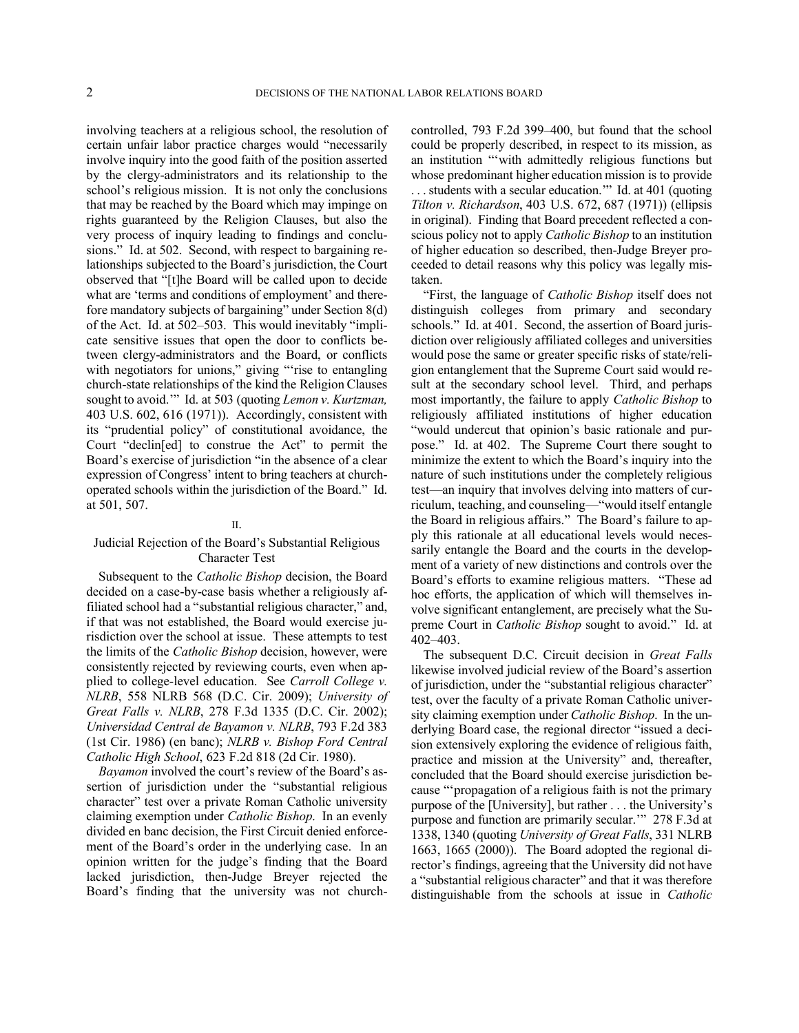involving teachers at a religious school, the resolution of certain unfair labor practice charges would "necessarily involve inquiry into the good faith of the position asserted by the clergy-administrators and its relationship to the school's religious mission. It is not only the conclusions that may be reached by the Board which may impinge on rights guaranteed by the Religion Clauses, but also the very process of inquiry leading to findings and conclusions." Id. at 502. Second, with respect to bargaining relationships subjected to the Board's jurisdiction, the Court observed that "[t]he Board will be called upon to decide what are 'terms and conditions of employment' and therefore mandatory subjects of bargaining" under Section 8(d) of the Act. Id. at 502–503. This would inevitably "implicate sensitive issues that open the door to conflicts between clergy-administrators and the Board, or conflicts with negotiators for unions," giving "'rise to entangling church-state relationships of the kind the Religion Clauses sought to avoid.'" Id. at 503 (quoting *Lemon v. Kurtzman,* 403 U.S. 602, 616 (1971)). Accordingly, consistent with its "prudential policy" of constitutional avoidance, the Court "declin[ed] to construe the Act" to permit the Board's exercise of jurisdiction "in the absence of a clear expression of Congress' intent to bring teachers at churchoperated schools within the jurisdiction of the Board." Id. at 501, 507.

# II.

# Judicial Rejection of the Board's Substantial Religious Character Test

Subsequent to the *Catholic Bishop* decision, the Board decided on a case-by-case basis whether a religiously affiliated school had a "substantial religious character," and, if that was not established, the Board would exercise jurisdiction over the school at issue. These attempts to test the limits of the *Catholic Bishop* decision, however, were consistently rejected by reviewing courts, even when applied to college-level education. See *Carroll College v. NLRB*, 558 NLRB 568 (D.C. Cir. 2009); *University of Great Falls v. NLRB*, 278 F.3d 1335 (D.C. Cir. 2002); *Universidad Central de Bayamon v. NLRB*, 793 F.2d 383 (1st Cir. 1986) (en banc); *NLRB v. Bishop Ford Central Catholic High School*, 623 F.2d 818 (2d Cir. 1980).

*Bayamon* involved the court's review of the Board's assertion of jurisdiction under the "substantial religious character" test over a private Roman Catholic university claiming exemption under *Catholic Bishop*. In an evenly divided en banc decision, the First Circuit denied enforcement of the Board's order in the underlying case. In an opinion written for the judge's finding that the Board lacked jurisdiction, then-Judge Breyer rejected the Board's finding that the university was not churchcontrolled, 793 F.2d 399–400, but found that the school could be properly described, in respect to its mission, as an institution "'with admittedly religious functions but whose predominant higher education mission is to provide . . . students with a secular education.'" Id. at 401 (quoting *Tilton v. Richardson*, 403 U.S. 672, 687 (1971)) (ellipsis in original). Finding that Board precedent reflected a conscious policy not to apply *Catholic Bishop* to an institution of higher education so described, then-Judge Breyer proceeded to detail reasons why this policy was legally mistaken.

"First, the language of *Catholic Bishop* itself does not distinguish colleges from primary and secondary schools." Id. at 401. Second, the assertion of Board jurisdiction over religiously affiliated colleges and universities would pose the same or greater specific risks of state/religion entanglement that the Supreme Court said would result at the secondary school level. Third, and perhaps most importantly, the failure to apply *Catholic Bishop* to religiously affiliated institutions of higher education "would undercut that opinion's basic rationale and purpose." Id. at 402. The Supreme Court there sought to minimize the extent to which the Board's inquiry into the nature of such institutions under the completely religious test—an inquiry that involves delving into matters of curriculum, teaching, and counseling—"would itself entangle the Board in religious affairs." The Board's failure to apply this rationale at all educational levels would necessarily entangle the Board and the courts in the development of a variety of new distinctions and controls over the Board's efforts to examine religious matters. "These ad hoc efforts, the application of which will themselves involve significant entanglement, are precisely what the Supreme Court in *Catholic Bishop* sought to avoid." Id. at 402–403.

The subsequent D.C. Circuit decision in *Great Falls* likewise involved judicial review of the Board's assertion of jurisdiction, under the "substantial religious character" test, over the faculty of a private Roman Catholic university claiming exemption under *Catholic Bishop*. In the underlying Board case, the regional director "issued a decision extensively exploring the evidence of religious faith, practice and mission at the University" and, thereafter, concluded that the Board should exercise jurisdiction because "'propagation of a religious faith is not the primary purpose of the [University], but rather . . . the University's purpose and function are primarily secular.'" 278 F.3d at 1338, 1340 (quoting *University of Great Falls*, 331 NLRB 1663, 1665 (2000)). The Board adopted the regional director's findings, agreeing that the University did not have a "substantial religious character" and that it was therefore distinguishable from the schools at issue in *Catholic*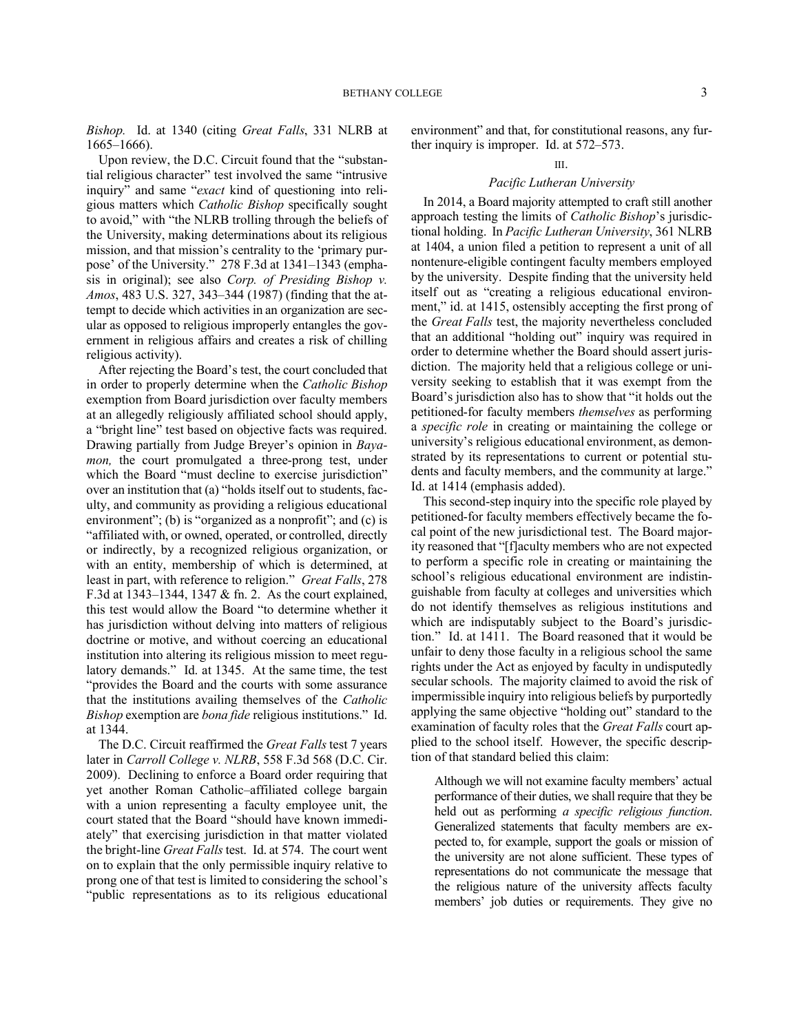*Bishop.* Id. at 1340 (citing *Great Falls*, 331 NLRB at 1665–1666).

Upon review, the D.C. Circuit found that the "substantial religious character" test involved the same "intrusive inquiry" and same "*exact* kind of questioning into religious matters which *Catholic Bishop* specifically sought to avoid," with "the NLRB trolling through the beliefs of the University, making determinations about its religious mission, and that mission's centrality to the 'primary purpose' of the University." 278 F.3d at 1341–1343 (emphasis in original); see also *Corp. of Presiding Bishop v. Amos*, 483 U.S. 327, 343–344 (1987) (finding that the attempt to decide which activities in an organization are secular as opposed to religious improperly entangles the government in religious affairs and creates a risk of chilling religious activity).

After rejecting the Board's test, the court concluded that in order to properly determine when the *Catholic Bishop* exemption from Board jurisdiction over faculty members at an allegedly religiously affiliated school should apply, a "bright line" test based on objective facts was required. Drawing partially from Judge Breyer's opinion in *Bayamon*, the court promulgated a three-prong test, under which the Board "must decline to exercise jurisdiction" over an institution that (a) "holds itself out to students, faculty, and community as providing a religious educational environment"; (b) is "organized as a nonprofit"; and (c) is "affiliated with, or owned, operated, or controlled, directly or indirectly, by a recognized religious organization, or with an entity, membership of which is determined, at least in part, with reference to religion." *Great Falls*, 278 F.3d at 1343–1344, 1347 & fn. 2. As the court explained, this test would allow the Board "to determine whether it has jurisdiction without delving into matters of religious doctrine or motive, and without coercing an educational institution into altering its religious mission to meet regulatory demands." Id. at 1345. At the same time, the test "provides the Board and the courts with some assurance that the institutions availing themselves of the *Catholic Bishop* exemption are *bona fide* religious institutions." Id. at 1344.

The D.C. Circuit reaffirmed the *Great Falls* test 7 years later in *Carroll College v. NLRB*, 558 F.3d 568 (D.C. Cir. 2009). Declining to enforce a Board order requiring that yet another Roman Catholic–affiliated college bargain with a union representing a faculty employee unit, the court stated that the Board "should have known immediately" that exercising jurisdiction in that matter violated the bright-line *Great Falls* test. Id. at 574. The court went on to explain that the only permissible inquiry relative to prong one of that test is limited to considering the school's "public representations as to its religious educational

environment" and that, for constitutional reasons, any further inquiry is improper. Id. at 572–573.

#### III.

# *Pacific Lutheran University*

In 2014, a Board majority attempted to craft still another approach testing the limits of *Catholic Bishop*'s jurisdictional holding. In *Pacific Lutheran University*, 361 NLRB at 1404, a union filed a petition to represent a unit of all nontenure-eligible contingent faculty members employed by the university. Despite finding that the university held itself out as "creating a religious educational environment," id. at 1415, ostensibly accepting the first prong of the *Great Falls* test, the majority nevertheless concluded that an additional "holding out" inquiry was required in order to determine whether the Board should assert jurisdiction. The majority held that a religious college or university seeking to establish that it was exempt from the Board's jurisdiction also has to show that "it holds out the petitioned-for faculty members *themselves* as performing a *specific role* in creating or maintaining the college or university's religious educational environment, as demonstrated by its representations to current or potential students and faculty members, and the community at large." Id. at 1414 (emphasis added).

This second-step inquiry into the specific role played by petitioned-for faculty members effectively became the focal point of the new jurisdictional test. The Board majority reasoned that "[f]aculty members who are not expected to perform a specific role in creating or maintaining the school's religious educational environment are indistinguishable from faculty at colleges and universities which do not identify themselves as religious institutions and which are indisputably subject to the Board's jurisdiction." Id. at 1411. The Board reasoned that it would be unfair to deny those faculty in a religious school the same rights under the Act as enjoyed by faculty in undisputedly secular schools. The majority claimed to avoid the risk of impermissible inquiry into religious beliefs by purportedly applying the same objective "holding out" standard to the examination of faculty roles that the *Great Falls* court applied to the school itself. However, the specific description of that standard belied this claim:

Although we will not examine faculty members' actual performance of their duties, we shall require that they be held out as performing *a specific religious function*. Generalized statements that faculty members are expected to, for example, support the goals or mission of the university are not alone sufficient. These types of representations do not communicate the message that the religious nature of the university affects faculty members' job duties or requirements. They give no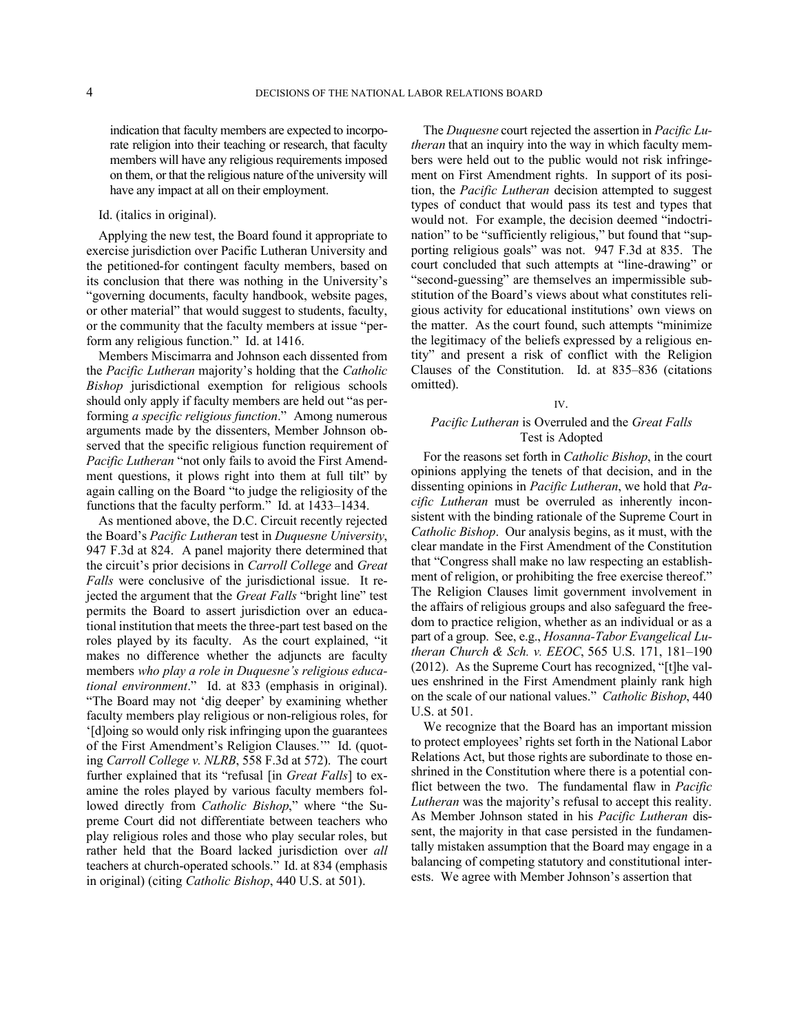indication that faculty members are expected to incorporate religion into their teaching or research, that faculty members will have any religious requirements imposed on them, or that the religious nature of the university will have any impact at all on their employment.

# Id. (italics in original).

Applying the new test, the Board found it appropriate to exercise jurisdiction over Pacific Lutheran University and the petitioned-for contingent faculty members, based on its conclusion that there was nothing in the University's "governing documents, faculty handbook, website pages, or other material" that would suggest to students, faculty, or the community that the faculty members at issue "perform any religious function." Id. at 1416.

Members Miscimarra and Johnson each dissented from the *Pacific Lutheran* majority's holding that the *Catholic Bishop* jurisdictional exemption for religious schools should only apply if faculty members are held out "as performing *a specific religious function*." Among numerous arguments made by the dissenters, Member Johnson observed that the specific religious function requirement of *Pacific Lutheran* "not only fails to avoid the First Amendment questions, it plows right into them at full tilt" by again calling on the Board "to judge the religiosity of the functions that the faculty perform." Id. at 1433–1434.

As mentioned above, the D.C. Circuit recently rejected the Board's *Pacific Lutheran* test in *Duquesne University*, 947 F.3d at 824. A panel majority there determined that the circuit's prior decisions in *Carroll College* and *Great Falls* were conclusive of the jurisdictional issue. It rejected the argument that the *Great Falls* "bright line" test permits the Board to assert jurisdiction over an educational institution that meets the three-part test based on the roles played by its faculty. As the court explained, "it makes no difference whether the adjuncts are faculty members *who play a role in Duquesne's religious educational environment*." Id. at 833 (emphasis in original). "The Board may not 'dig deeper' by examining whether faculty members play religious or non-religious roles, for '[d]oing so would only risk infringing upon the guarantees of the First Amendment's Religion Clauses.'" Id. (quoting *Carroll College v. NLRB*, 558 F.3d at 572). The court further explained that its "refusal [in *Great Falls*] to examine the roles played by various faculty members followed directly from *Catholic Bishop*," where "the Supreme Court did not differentiate between teachers who play religious roles and those who play secular roles, but rather held that the Board lacked jurisdiction over *all* teachers at church-operated schools." Id. at 834 (emphasis in original) (citing *Catholic Bishop*, 440 U.S. at 501).

The *Duquesne* court rejected the assertion in *Pacific Lutheran* that an inquiry into the way in which faculty members were held out to the public would not risk infringement on First Amendment rights. In support of its position, the *Pacific Lutheran* decision attempted to suggest types of conduct that would pass its test and types that would not. For example, the decision deemed "indoctrination" to be "sufficiently religious," but found that "supporting religious goals" was not. 947 F.3d at 835. The court concluded that such attempts at "line-drawing" or "second-guessing" are themselves an impermissible substitution of the Board's views about what constitutes religious activity for educational institutions' own views on the matter. As the court found, such attempts "minimize the legitimacy of the beliefs expressed by a religious entity" and present a risk of conflict with the Religion Clauses of the Constitution. Id. at 835–836 (citations omitted).

# IV.

# *Pacific Lutheran* is Overruled and the *Great Falls*  Test is Adopted

For the reasons set forth in *Catholic Bishop*, in the court opinions applying the tenets of that decision, and in the dissenting opinions in *Pacific Lutheran*, we hold that *Pacific Lutheran* must be overruled as inherently inconsistent with the binding rationale of the Supreme Court in *Catholic Bishop*. Our analysis begins, as it must, with the clear mandate in the First Amendment of the Constitution that "Congress shall make no law respecting an establishment of religion, or prohibiting the free exercise thereof." The Religion Clauses limit government involvement in the affairs of religious groups and also safeguard the freedom to practice religion, whether as an individual or as a part of a group. See, e.g., *Hosanna-Tabor Evangelical Lutheran Church & Sch. v. EEOC*, 565 U.S. 171, 181–190 (2012). As the Supreme Court has recognized, "[t]he values enshrined in the First Amendment plainly rank high on the scale of our national values." *Catholic Bishop*, 440 U.S. at 501.

We recognize that the Board has an important mission to protect employees' rights set forth in the National Labor Relations Act, but those rights are subordinate to those enshrined in the Constitution where there is a potential conflict between the two. The fundamental flaw in *Pacific Lutheran* was the majority's refusal to accept this reality. As Member Johnson stated in his *Pacific Lutheran* dissent, the majority in that case persisted in the fundamentally mistaken assumption that the Board may engage in a balancing of competing statutory and constitutional interests. We agree with Member Johnson's assertion that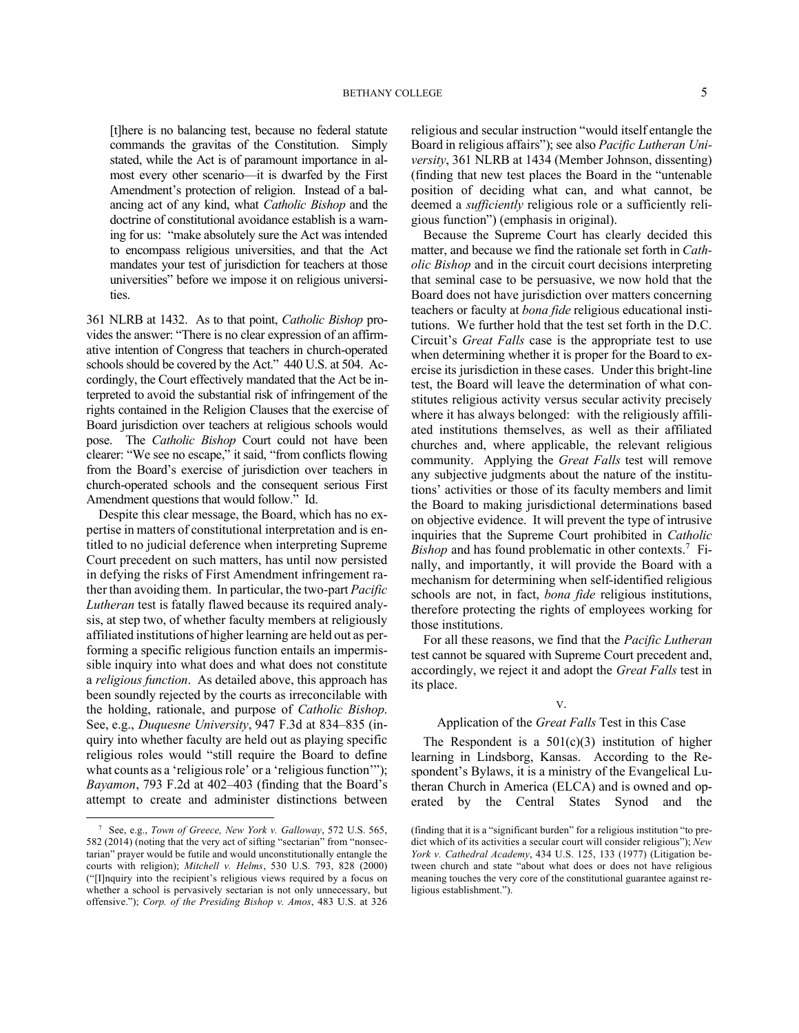[t]here is no balancing test, because no federal statute commands the gravitas of the Constitution. Simply stated, while the Act is of paramount importance in almost every other scenario—it is dwarfed by the First Amendment's protection of religion. Instead of a balancing act of any kind, what *Catholic Bishop* and the doctrine of constitutional avoidance establish is a warning for us: "make absolutely sure the Act was intended to encompass religious universities, and that the Act mandates your test of jurisdiction for teachers at those universities" before we impose it on religious universities.

361 NLRB at 1432. As to that point, *Catholic Bishop* provides the answer: "There is no clear expression of an affirmative intention of Congress that teachers in church-operated schools should be covered by the Act." 440 U.S. at 504. Accordingly, the Court effectively mandated that the Act be interpreted to avoid the substantial risk of infringement of the rights contained in the Religion Clauses that the exercise of Board jurisdiction over teachers at religious schools would pose. The *Catholic Bishop* Court could not have been clearer: "We see no escape," it said, "from conflicts flowing from the Board's exercise of jurisdiction over teachers in church-operated schools and the consequent serious First Amendment questions that would follow." Id.

Despite this clear message, the Board, which has no expertise in matters of constitutional interpretation and is entitled to no judicial deference when interpreting Supreme Court precedent on such matters, has until now persisted in defying the risks of First Amendment infringement rather than avoiding them. In particular, the two-part *Pacific Lutheran* test is fatally flawed because its required analysis, at step two, of whether faculty members at religiously affiliated institutions of higher learning are held out as performing a specific religious function entails an impermissible inquiry into what does and what does not constitute a *religious function*. As detailed above, this approach has been soundly rejected by the courts as irreconcilable with the holding, rationale, and purpose of *Catholic Bishop*. See, e.g., *Duquesne University*, 947 F.3d at 834–835 (inquiry into whether faculty are held out as playing specific religious roles would "still require the Board to define what counts as a 'religious role' or a 'religious function'"); *Bayamon*, 793 F.2d at 402–403 (finding that the Board's attempt to create and administer distinctions between religious and secular instruction "would itself entangle the Board in religious affairs"); see also *Pacific Lutheran University*, 361 NLRB at 1434 (Member Johnson, dissenting) (finding that new test places the Board in the "untenable position of deciding what can, and what cannot, be deemed a *sufficiently* religious role or a sufficiently religious function") (emphasis in original).

Because the Supreme Court has clearly decided this matter, and because we find the rationale set forth in *Catholic Bishop* and in the circuit court decisions interpreting that seminal case to be persuasive, we now hold that the Board does not have jurisdiction over matters concerning teachers or faculty at *bona fide* religious educational institutions. We further hold that the test set forth in the D.C. Circuit's *Great Falls* case is the appropriate test to use when determining whether it is proper for the Board to exercise its jurisdiction in these cases. Under this bright-line test, the Board will leave the determination of what constitutes religious activity versus secular activity precisely where it has always belonged: with the religiously affiliated institutions themselves, as well as their affiliated churches and, where applicable, the relevant religious community. Applying the *Great Falls* test will remove any subjective judgments about the nature of the institutions' activities or those of its faculty members and limit the Board to making jurisdictional determinations based on objective evidence. It will prevent the type of intrusive inquiries that the Supreme Court prohibited in *Catholic*  Bishop and has found problematic in other contexts.<sup>7</sup> Finally, and importantly, it will provide the Board with a mechanism for determining when self-identified religious schools are not, in fact, *bona fide* religious institutions, therefore protecting the rights of employees working for those institutions.

For all these reasons, we find that the *Pacific Lutheran* test cannot be squared with Supreme Court precedent and, accordingly, we reject it and adopt the *Great Falls* test in its place.

# V.

### Application of the *Great Falls* Test in this Case

The Respondent is a  $501(c)(3)$  institution of higher learning in Lindsborg, Kansas. According to the Respondent's Bylaws, it is a ministry of the Evangelical Lutheran Church in America (ELCA) and is owned and operated by the Central States Synod and the

<sup>7</sup> See, e.g., *Town of Greece, New York v. Galloway*, 572 U.S. 565, 582 (2014) (noting that the very act of sifting "sectarian" from "nonsectarian" prayer would be futile and would unconstitutionally entangle the courts with religion); *Mitchell v. Helms*, 530 U.S. 793, 828 (2000) ("[I]nquiry into the recipient's religious views required by a focus on whether a school is pervasively sectarian is not only unnecessary, but offensive."); *Corp. of the Presiding Bishop v. Amos*, 483 U.S. at 326

<sup>(</sup>finding that it is a "significant burden" for a religious institution "to predict which of its activities a secular court will consider religious"); *New York v. Cathedral Academy*, 434 U.S. 125, 133 (1977) (Litigation between church and state "about what does or does not have religious meaning touches the very core of the constitutional guarantee against religious establishment.").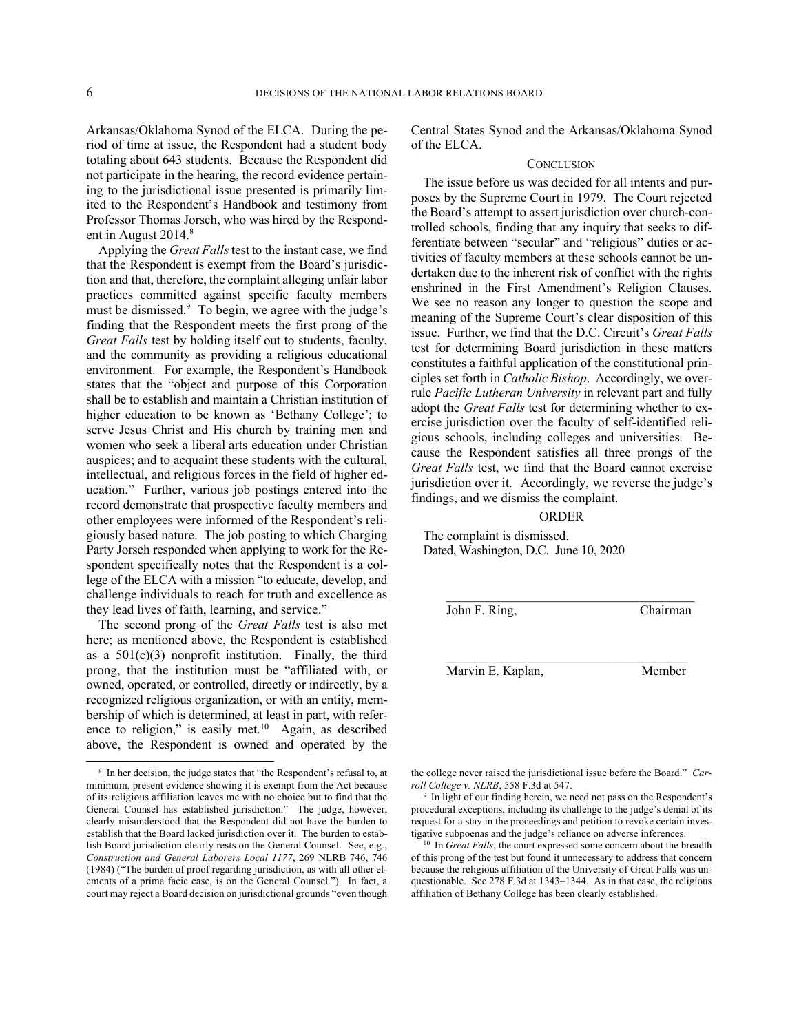Arkansas/Oklahoma Synod of the ELCA. During the period of time at issue, the Respondent had a student body totaling about 643 students. Because the Respondent did not participate in the hearing, the record evidence pertaining to the jurisdictional issue presented is primarily limited to the Respondent's Handbook and testimony from Professor Thomas Jorsch, who was hired by the Respondent in August 2014.<sup>8</sup>

Applying the *Great Falls*test to the instant case, we find that the Respondent is exempt from the Board's jurisdiction and that, therefore, the complaint alleging unfair labor practices committed against specific faculty members must be dismissed.<sup>9</sup> To begin, we agree with the judge's finding that the Respondent meets the first prong of the *Great Falls* test by holding itself out to students, faculty, and the community as providing a religious educational environment. For example, the Respondent's Handbook states that the "object and purpose of this Corporation shall be to establish and maintain a Christian institution of higher education to be known as 'Bethany College'; to serve Jesus Christ and His church by training men and women who seek a liberal arts education under Christian auspices; and to acquaint these students with the cultural, intellectual, and religious forces in the field of higher education." Further, various job postings entered into the record demonstrate that prospective faculty members and other employees were informed of the Respondent's religiously based nature. The job posting to which Charging Party Jorsch responded when applying to work for the Respondent specifically notes that the Respondent is a college of the ELCA with a mission "to educate, develop, and challenge individuals to reach for truth and excellence as they lead lives of faith, learning, and service."

The second prong of the *Great Falls* test is also met here; as mentioned above, the Respondent is established as a  $501(c)(3)$  nonprofit institution. Finally, the third prong, that the institution must be "affiliated with, or owned, operated, or controlled, directly or indirectly, by a recognized religious organization, or with an entity, membership of which is determined, at least in part, with reference to religion," is easily met. $10$  Again, as described above, the Respondent is owned and operated by the

Central States Synod and the Arkansas/Oklahoma Synod of the ELCA.

# **CONCLUSION**

The issue before us was decided for all intents and purposes by the Supreme Court in 1979. The Court rejected the Board's attempt to assert jurisdiction over church-controlled schools, finding that any inquiry that seeks to differentiate between "secular" and "religious" duties or activities of faculty members at these schools cannot be undertaken due to the inherent risk of conflict with the rights enshrined in the First Amendment's Religion Clauses. We see no reason any longer to question the scope and meaning of the Supreme Court's clear disposition of this issue. Further, we find that the D.C. Circuit's *Great Falls* test for determining Board jurisdiction in these matters constitutes a faithful application of the constitutional principles set forth in *Catholic Bishop*. Accordingly, we overrule *Pacific Lutheran University* in relevant part and fully adopt the *Great Falls* test for determining whether to exercise jurisdiction over the faculty of self-identified religious schools, including colleges and universities. Because the Respondent satisfies all three prongs of the *Great Falls* test, we find that the Board cannot exercise jurisdiction over it. Accordingly, we reverse the judge's findings, and we dismiss the complaint.

# ORDER

\_\_\_\_\_\_\_\_\_\_\_\_\_\_\_\_\_\_\_\_\_\_\_\_\_\_\_\_\_\_\_\_\_\_\_\_\_\_

The complaint is dismissed. Dated, Washington, D.C. June 10, 2020

John F. Ring, Chairman

Marvin E. Kaplan, Member

the college never raised the jurisdictional issue before the Board." *Carroll College v. NLRB*, 558 F.3d at 547.

<sup>9</sup> In light of our finding herein, we need not pass on the Respondent's procedural exceptions, including its challenge to the judge's denial of its request for a stay in the proceedings and petition to revoke certain investigative subpoenas and the judge's reliance on adverse inferences.

<sup>10</sup> In *Great Falls*, the court expressed some concern about the breadth of this prong of the test but found it unnecessary to address that concern because the religious affiliation of the University of Great Falls was unquestionable. See 278 F.3d at 1343–1344. As in that case, the religious affiliation of Bethany College has been clearly established.

<sup>8</sup> In her decision, the judge states that "the Respondent's refusal to, at minimum, present evidence showing it is exempt from the Act because of its religious affiliation leaves me with no choice but to find that the General Counsel has established jurisdiction." The judge, however, clearly misunderstood that the Respondent did not have the burden to establish that the Board lacked jurisdiction over it. The burden to establish Board jurisdiction clearly rests on the General Counsel. See, e.g., *Construction and General Laborers Local 1177*, 269 NLRB 746, 746 (1984) ("The burden of proof regarding jurisdiction, as with all other elements of a prima facie case, is on the General Counsel."). In fact, a court may reject a Board decision on jurisdictional grounds "even though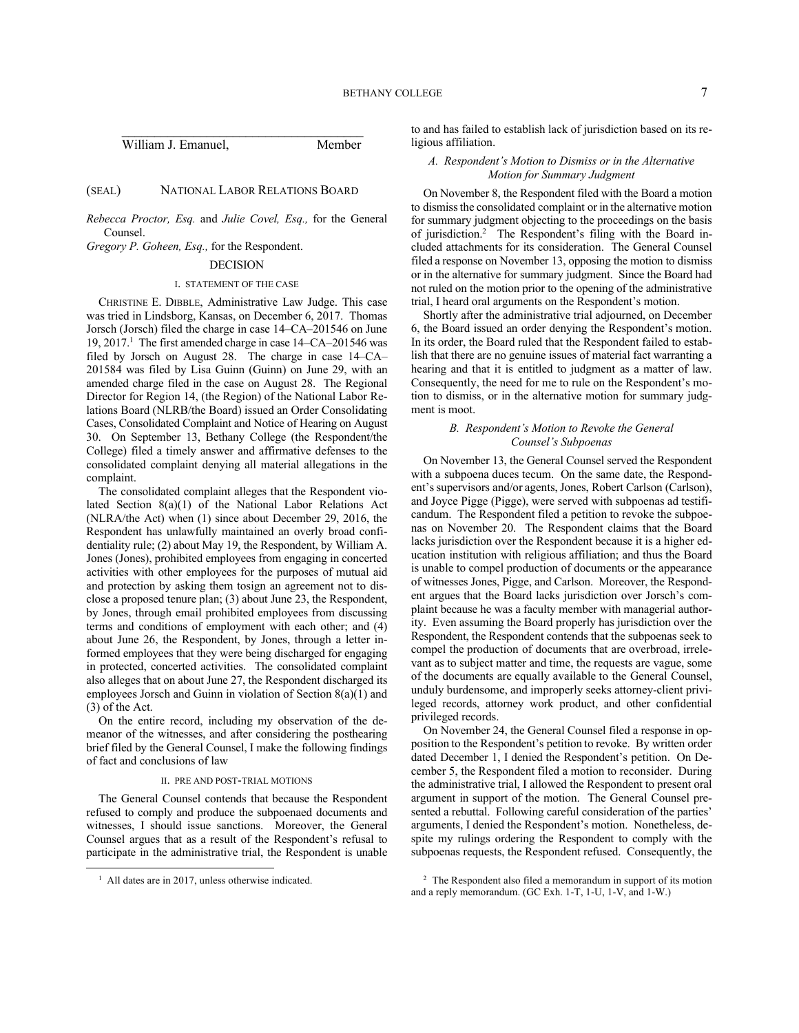| William J. Emanuel. | Member |
|---------------------|--------|

# (SEAL) NATIONAL LABOR RELATIONS BOARD

*Rebecca Proctor, Esq.* and *Julie Covel, Esq.,* for the General Counsel.

*Gregory P. Goheen, Esq.,* for the Respondent.

# DECISION

#### I. STATEMENT OF THE CASE

CHRISTINE E. DIBBLE, Administrative Law Judge. This case was tried in Lindsborg, Kansas, on December 6, 2017. Thomas Jorsch (Jorsch) filed the charge in case 14–CA–201546 on June 19, 2017.<sup>1</sup> The first amended charge in case 14–CA–201546 was filed by Jorsch on August 28. The charge in case 14–CA– 201584 was filed by Lisa Guinn (Guinn) on June 29, with an amended charge filed in the case on August 28. The Regional Director for Region 14, (the Region) of the National Labor Relations Board (NLRB/the Board) issued an Order Consolidating Cases, Consolidated Complaint and Notice of Hearing on August 30. On September 13, Bethany College (the Respondent/the College) filed a timely answer and affirmative defenses to the consolidated complaint denying all material allegations in the complaint.

The consolidated complaint alleges that the Respondent violated Section 8(a)(1) of the National Labor Relations Act (NLRA/the Act) when (1) since about December 29, 2016, the Respondent has unlawfully maintained an overly broad confidentiality rule; (2) about May 19, the Respondent, by William A. Jones (Jones), prohibited employees from engaging in concerted activities with other employees for the purposes of mutual aid and protection by asking them tosign an agreement not to disclose a proposed tenure plan; (3) about June 23, the Respondent, by Jones, through email prohibited employees from discussing terms and conditions of employment with each other; and (4) about June 26, the Respondent, by Jones, through a letter informed employees that they were being discharged for engaging in protected, concerted activities. The consolidated complaint also alleges that on about June 27, the Respondent discharged its employees Jorsch and Guinn in violation of Section 8(a)(1) and (3) of the Act.

On the entire record, including my observation of the demeanor of the witnesses, and after considering the posthearing brief filed by the General Counsel, I make the following findings of fact and conclusions of law

#### II. PRE AND POST-TRIAL MOTIONS

The General Counsel contends that because the Respondent refused to comply and produce the subpoenaed documents and witnesses, I should issue sanctions. Moreover, the General Counsel argues that as a result of the Respondent's refusal to participate in the administrative trial, the Respondent is unable to and has failed to establish lack of jurisdiction based on its religious affiliation.

### *A. Respondent's Motion to Dismiss or in the Alternative Motion for Summary Judgment*

On November 8, the Respondent filed with the Board a motion to dismiss the consolidated complaint or in the alternative motion for summary judgment objecting to the proceedings on the basis of jurisdiction.<sup>2</sup> The Respondent's filing with the Board included attachments for its consideration. The General Counsel filed a response on November 13, opposing the motion to dismiss or in the alternative for summary judgment. Since the Board had not ruled on the motion prior to the opening of the administrative trial, I heard oral arguments on the Respondent's motion.

Shortly after the administrative trial adjourned, on December 6, the Board issued an order denying the Respondent's motion. In its order, the Board ruled that the Respondent failed to establish that there are no genuine issues of material fact warranting a hearing and that it is entitled to judgment as a matter of law. Consequently, the need for me to rule on the Respondent's motion to dismiss, or in the alternative motion for summary judgment is moot.

# *B. Respondent's Motion to Revoke the General Counsel's Subpoenas*

On November 13, the General Counsel served the Respondent with a subpoena duces tecum. On the same date, the Respondent's supervisors and/or agents, Jones, Robert Carlson (Carlson), and Joyce Pigge (Pigge), were served with subpoenas ad testificandum. The Respondent filed a petition to revoke the subpoenas on November 20. The Respondent claims that the Board lacks jurisdiction over the Respondent because it is a higher education institution with religious affiliation; and thus the Board is unable to compel production of documents or the appearance of witnesses Jones, Pigge, and Carlson. Moreover, the Respondent argues that the Board lacks jurisdiction over Jorsch's complaint because he was a faculty member with managerial authority. Even assuming the Board properly has jurisdiction over the Respondent, the Respondent contends that the subpoenas seek to compel the production of documents that are overbroad, irrelevant as to subject matter and time, the requests are vague, some of the documents are equally available to the General Counsel, unduly burdensome, and improperly seeks attorney-client privileged records, attorney work product, and other confidential privileged records.

On November 24, the General Counsel filed a response in opposition to the Respondent's petition to revoke. By written order dated December 1, I denied the Respondent's petition. On December 5, the Respondent filed a motion to reconsider. During the administrative trial, I allowed the Respondent to present oral argument in support of the motion. The General Counsel presented a rebuttal. Following careful consideration of the parties' arguments, I denied the Respondent's motion. Nonetheless, despite my rulings ordering the Respondent to comply with the subpoenas requests, the Respondent refused. Consequently, the

<sup>&</sup>lt;sup>1</sup> All dates are in 2017, unless otherwise indicated.

<sup>2</sup> The Respondent also filed a memorandum in support of its motion and a reply memorandum. (GC Exh. 1-T, 1-U, 1-V, and 1-W.)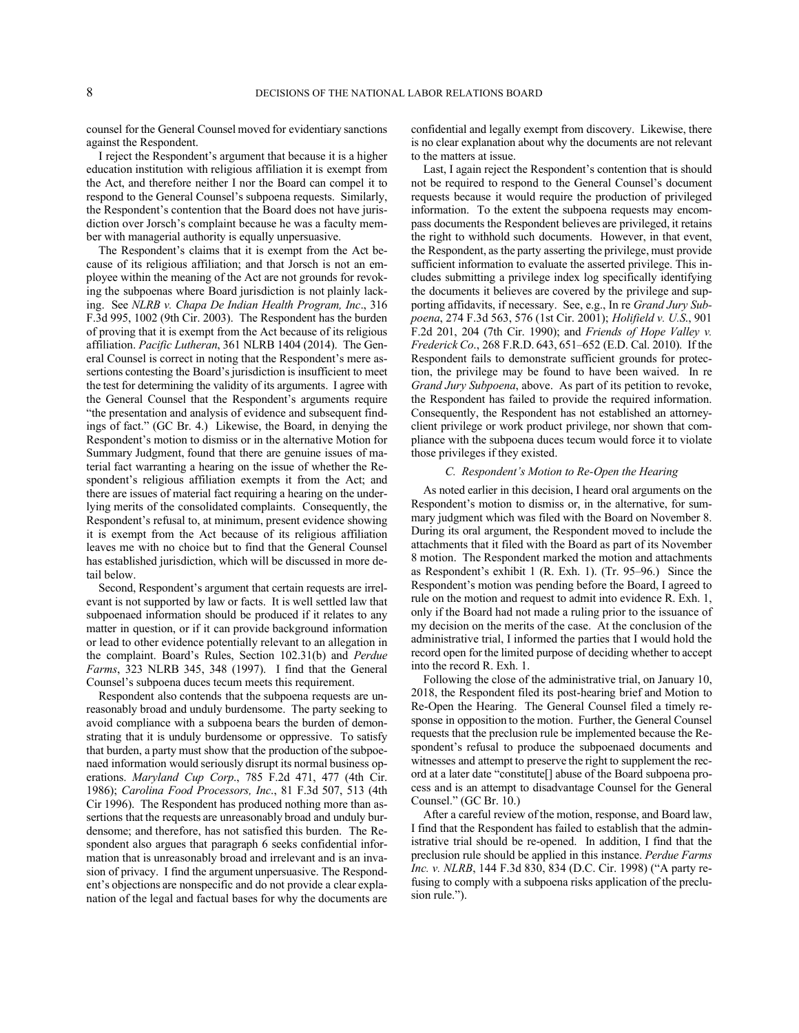counsel for the General Counsel moved for evidentiary sanctions against the Respondent.

I reject the Respondent's argument that because it is a higher education institution with religious affiliation it is exempt from the Act, and therefore neither I nor the Board can compel it to respond to the General Counsel's subpoena requests. Similarly, the Respondent's contention that the Board does not have jurisdiction over Jorsch's complaint because he was a faculty member with managerial authority is equally unpersuasive.

The Respondent's claims that it is exempt from the Act because of its religious affiliation; and that Jorsch is not an employee within the meaning of the Act are not grounds for revoking the subpoenas where Board jurisdiction is not plainly lacking. See *NLRB v. Chapa De Indian Health Program, Inc*., 316 F.3d 995, 1002 (9th Cir. 2003). The Respondent has the burden of proving that it is exempt from the Act because of its religious affiliation. *Pacific Lutheran*, 361 NLRB 1404 (2014). The General Counsel is correct in noting that the Respondent's mere assertions contesting the Board's jurisdiction is insufficient to meet the test for determining the validity of its arguments. I agree with the General Counsel that the Respondent's arguments require "the presentation and analysis of evidence and subsequent findings of fact." (GC Br. 4.) Likewise, the Board, in denying the Respondent's motion to dismiss or in the alternative Motion for Summary Judgment, found that there are genuine issues of material fact warranting a hearing on the issue of whether the Respondent's religious affiliation exempts it from the Act; and there are issues of material fact requiring a hearing on the underlying merits of the consolidated complaints. Consequently, the Respondent's refusal to, at minimum, present evidence showing it is exempt from the Act because of its religious affiliation leaves me with no choice but to find that the General Counsel has established jurisdiction, which will be discussed in more detail below.

Second, Respondent's argument that certain requests are irrelevant is not supported by law or facts. It is well settled law that subpoenaed information should be produced if it relates to any matter in question, or if it can provide background information or lead to other evidence potentially relevant to an allegation in the complaint. Board's Rules, Section 102.31(b) and *Perdue Farms*, 323 NLRB 345, 348 (1997). I find that the General Counsel's subpoena duces tecum meets this requirement.

Respondent also contends that the subpoena requests are unreasonably broad and unduly burdensome. The party seeking to avoid compliance with a subpoena bears the burden of demonstrating that it is unduly burdensome or oppressive. To satisfy that burden, a party must show that the production of the subpoenaed information would seriously disrupt its normal business operations. *Maryland Cup Corp*., 785 F.2d 471, 477 (4th Cir. 1986); *Carolina Food Processors, Inc*., 81 F.3d 507, 513 (4th Cir 1996). The Respondent has produced nothing more than assertions that the requests are unreasonably broad and unduly burdensome; and therefore, has not satisfied this burden. The Respondent also argues that paragraph 6 seeks confidential information that is unreasonably broad and irrelevant and is an invasion of privacy. I find the argument unpersuasive. The Respondent's objections are nonspecific and do not provide a clear explanation of the legal and factual bases for why the documents are confidential and legally exempt from discovery. Likewise, there is no clear explanation about why the documents are not relevant to the matters at issue.

Last, I again reject the Respondent's contention that is should not be required to respond to the General Counsel's document requests because it would require the production of privileged information. To the extent the subpoena requests may encompass documents the Respondent believes are privileged, it retains the right to withhold such documents. However, in that event, the Respondent, as the party asserting the privilege, must provide sufficient information to evaluate the asserted privilege. This includes submitting a privilege index log specifically identifying the documents it believes are covered by the privilege and supporting affidavits, if necessary. See, e.g., In re *Grand Jury Subpoena*, 274 F.3d 563, 576 (1st Cir. 2001); *Holifield v. U.S*., 901 F.2d 201, 204 (7th Cir. 1990); and *Friends of Hope Valley v. Frederick Co*., 268 F.R.D. 643, 651–652 (E.D. Cal. 2010). If the Respondent fails to demonstrate sufficient grounds for protection, the privilege may be found to have been waived. In re *Grand Jury Subpoena*, above. As part of its petition to revoke, the Respondent has failed to provide the required information. Consequently, the Respondent has not established an attorneyclient privilege or work product privilege, nor shown that compliance with the subpoena duces tecum would force it to violate those privileges if they existed.

## *C. Respondent's Motion to Re-Open the Hearing*

As noted earlier in this decision, I heard oral arguments on the Respondent's motion to dismiss or, in the alternative, for summary judgment which was filed with the Board on November 8. During its oral argument, the Respondent moved to include the attachments that it filed with the Board as part of its November 8 motion. The Respondent marked the motion and attachments as Respondent's exhibit 1 (R. Exh. 1). (Tr. 95–96.) Since the Respondent's motion was pending before the Board, I agreed to rule on the motion and request to admit into evidence R. Exh. 1, only if the Board had not made a ruling prior to the issuance of my decision on the merits of the case. At the conclusion of the administrative trial, I informed the parties that I would hold the record open for the limited purpose of deciding whether to accept into the record R. Exh. 1.

Following the close of the administrative trial, on January 10, 2018, the Respondent filed its post-hearing brief and Motion to Re-Open the Hearing. The General Counsel filed a timely response in opposition to the motion. Further, the General Counsel requests that the preclusion rule be implemented because the Respondent's refusal to produce the subpoenaed documents and witnesses and attempt to preserve the right to supplement the record at a later date "constitute[] abuse of the Board subpoena process and is an attempt to disadvantage Counsel for the General Counsel." (GC Br. 10.)

After a careful review of the motion, response, and Board law, I find that the Respondent has failed to establish that the administrative trial should be re-opened. In addition, I find that the preclusion rule should be applied in this instance. *Perdue Farms Inc. v. NLRB*, 144 F.3d 830, 834 (D.C. Cir. 1998) ("A party refusing to comply with a subpoena risks application of the preclusion rule.").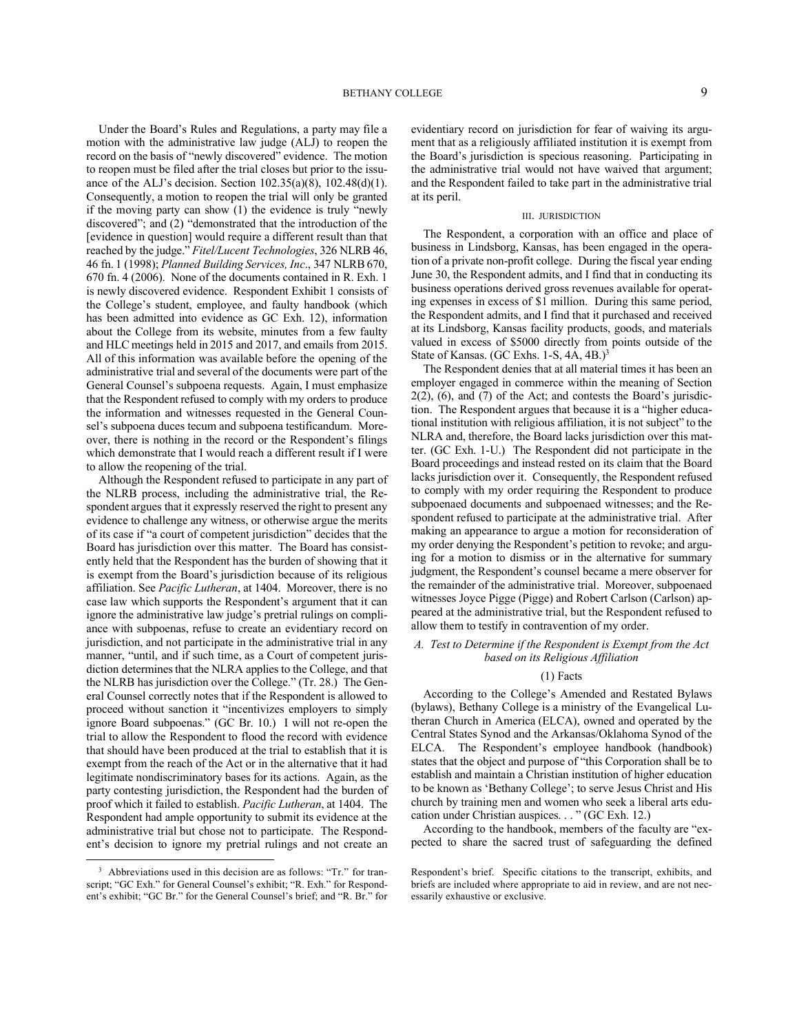Under the Board's Rules and Regulations, a party may file a motion with the administrative law judge (ALJ) to reopen the record on the basis of "newly discovered" evidence. The motion to reopen must be filed after the trial closes but prior to the issuance of the ALJ's decision. Section 102.35(a)(8), 102.48(d)(1). Consequently, a motion to reopen the trial will only be granted if the moving party can show (1) the evidence is truly "newly discovered"; and (2) "demonstrated that the introduction of the [evidence in question] would require a different result than that reached by the judge." *Fitel/Lucent Technologies*, 326 NLRB 46, 46 fn. 1 (1998); *Planned Building Services, Inc*., 347 NLRB 670, 670 fn. 4 (2006). None of the documents contained in R. Exh. 1 is newly discovered evidence. Respondent Exhibit 1 consists of the College's student, employee, and faulty handbook (which has been admitted into evidence as GC Exh. 12), information about the College from its website, minutes from a few faulty and HLC meetings held in 2015 and 2017, and emails from 2015. All of this information was available before the opening of the administrative trial and several of the documents were part of the General Counsel's subpoena requests. Again, I must emphasize that the Respondent refused to comply with my orders to produce the information and witnesses requested in the General Counsel's subpoena duces tecum and subpoena testificandum. Moreover, there is nothing in the record or the Respondent's filings which demonstrate that I would reach a different result if I were to allow the reopening of the trial.

Although the Respondent refused to participate in any part of the NLRB process, including the administrative trial, the Respondent argues that it expressly reserved the right to present any evidence to challenge any witness, or otherwise argue the merits of its case if "a court of competent jurisdiction" decides that the Board has jurisdiction over this matter. The Board has consistently held that the Respondent has the burden of showing that it is exempt from the Board's jurisdiction because of its religious affiliation. See *Pacific Lutheran*, at 1404. Moreover, there is no case law which supports the Respondent's argument that it can ignore the administrative law judge's pretrial rulings on compliance with subpoenas, refuse to create an evidentiary record on jurisdiction, and not participate in the administrative trial in any manner, "until, and if such time, as a Court of competent jurisdiction determines that the NLRA applies to the College, and that the NLRB has jurisdiction over the College." (Tr. 28.) The General Counsel correctly notes that if the Respondent is allowed to proceed without sanction it "incentivizes employers to simply ignore Board subpoenas." (GC Br. 10.) I will not re-open the trial to allow the Respondent to flood the record with evidence that should have been produced at the trial to establish that it is exempt from the reach of the Act or in the alternative that it had legitimate nondiscriminatory bases for its actions. Again, as the party contesting jurisdiction, the Respondent had the burden of proof which it failed to establish. *Pacific Lutheran*, at 1404. The Respondent had ample opportunity to submit its evidence at the administrative trial but chose not to participate. The Respondent's decision to ignore my pretrial rulings and not create an

evidentiary record on jurisdiction for fear of waiving its argument that as a religiously affiliated institution it is exempt from the Board's jurisdiction is specious reasoning. Participating in the administrative trial would not have waived that argument; and the Respondent failed to take part in the administrative trial at its peril.

#### III. JURISDICTION

The Respondent, a corporation with an office and place of business in Lindsborg, Kansas, has been engaged in the operation of a private non-profit college. During the fiscal year ending June 30, the Respondent admits, and I find that in conducting its business operations derived gross revenues available for operating expenses in excess of \$1 million. During this same period, the Respondent admits, and I find that it purchased and received at its Lindsborg, Kansas facility products, goods, and materials valued in excess of \$5000 directly from points outside of the State of Kansas. (GC Exhs. 1-S, 4A, 4B.)<sup>3</sup>

The Respondent denies that at all material times it has been an employer engaged in commerce within the meaning of Section  $2(2)$ ,  $(6)$ , and  $(7)$  of the Act; and contests the Board's jurisdiction. The Respondent argues that because it is a "higher educational institution with religious affiliation, it is not subject" to the NLRA and, therefore, the Board lacks jurisdiction over this matter. (GC Exh. 1-U.) The Respondent did not participate in the Board proceedings and instead rested on its claim that the Board lacks jurisdiction over it. Consequently, the Respondent refused to comply with my order requiring the Respondent to produce subpoenaed documents and subpoenaed witnesses; and the Respondent refused to participate at the administrative trial. After making an appearance to argue a motion for reconsideration of my order denying the Respondent's petition to revoke; and arguing for a motion to dismiss or in the alternative for summary judgment, the Respondent's counsel became a mere observer for the remainder of the administrative trial. Moreover, subpoenaed witnesses Joyce Pigge (Pigge) and Robert Carlson (Carlson) appeared at the administrative trial, but the Respondent refused to allow them to testify in contravention of my order.

# *A. Test to Determine if the Respondent is Exempt from the Act based on its Religious Affiliation*

#### (1) Facts

According to the College's Amended and Restated Bylaws (bylaws), Bethany College is a ministry of the Evangelical Lutheran Church in America (ELCA), owned and operated by the Central States Synod and the Arkansas/Oklahoma Synod of the ELCA. The Respondent's employee handbook (handbook) states that the object and purpose of "this Corporation shall be to establish and maintain a Christian institution of higher education to be known as 'Bethany College'; to serve Jesus Christ and His church by training men and women who seek a liberal arts education under Christian auspices. . . " (GC Exh. 12.)

According to the handbook, members of the faculty are "expected to share the sacred trust of safeguarding the defined

<sup>&</sup>lt;sup>3</sup> Abbreviations used in this decision are as follows: "Tr." for transcript; "GC Exh." for General Counsel's exhibit; "R. Exh." for Respondent's exhibit; "GC Br." for the General Counsel's brief; and "R. Br." for

Respondent's brief. Specific citations to the transcript, exhibits, and briefs are included where appropriate to aid in review, and are not necessarily exhaustive or exclusive.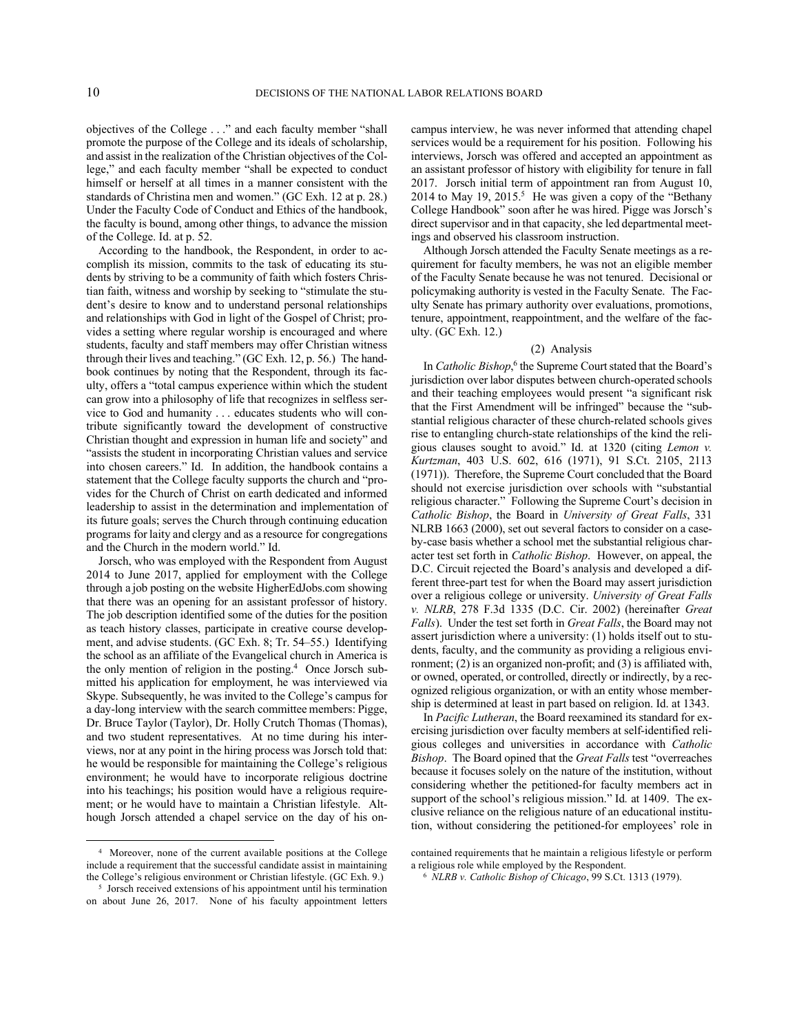objectives of the College . . ." and each faculty member "shall promote the purpose of the College and its ideals of scholarship, and assist in the realization of the Christian objectives of the College," and each faculty member "shall be expected to conduct himself or herself at all times in a manner consistent with the standards of Christina men and women." (GC Exh. 12 at p. 28.) Under the Faculty Code of Conduct and Ethics of the handbook, the faculty is bound, among other things, to advance the mission of the College. Id. at p. 52.

According to the handbook, the Respondent, in order to accomplish its mission, commits to the task of educating its students by striving to be a community of faith which fosters Christian faith, witness and worship by seeking to "stimulate the student's desire to know and to understand personal relationships and relationships with God in light of the Gospel of Christ; provides a setting where regular worship is encouraged and where students, faculty and staff members may offer Christian witness through their lives and teaching." (GC Exh. 12, p. 56.) The handbook continues by noting that the Respondent, through its faculty, offers a "total campus experience within which the student can grow into a philosophy of life that recognizes in selfless service to God and humanity . . . educates students who will contribute significantly toward the development of constructive Christian thought and expression in human life and society" and "assists the student in incorporating Christian values and service into chosen careers." Id. In addition, the handbook contains a statement that the College faculty supports the church and "provides for the Church of Christ on earth dedicated and informed leadership to assist in the determination and implementation of its future goals; serves the Church through continuing education programs for laity and clergy and as a resource for congregations and the Church in the modern world." Id.

Jorsch, who was employed with the Respondent from August 2014 to June 2017, applied for employment with the College through a job posting on the website HigherEdJobs.com showing that there was an opening for an assistant professor of history. The job description identified some of the duties for the position as teach history classes, participate in creative course development, and advise students. (GC Exh. 8; Tr. 54–55.) Identifying the school as an affiliate of the Evangelical church in America is the only mention of religion in the posting.<sup>4</sup> Once Jorsch submitted his application for employment, he was interviewed via Skype. Subsequently, he was invited to the College's campus for a day-long interview with the search committee members: Pigge, Dr. Bruce Taylor (Taylor), Dr. Holly Crutch Thomas (Thomas), and two student representatives. At no time during his interviews, nor at any point in the hiring process was Jorsch told that: he would be responsible for maintaining the College's religious environment; he would have to incorporate religious doctrine into his teachings; his position would have a religious requirement; or he would have to maintain a Christian lifestyle. Although Jorsch attended a chapel service on the day of his oncampus interview, he was never informed that attending chapel services would be a requirement for his position. Following his interviews, Jorsch was offered and accepted an appointment as an assistant professor of history with eligibility for tenure in fall 2017. Jorsch initial term of appointment ran from August 10, 2014 to May 19,  $2015<sup>5</sup>$  He was given a copy of the "Bethany College Handbook" soon after he was hired. Pigge was Jorsch's direct supervisor and in that capacity, she led departmental meetings and observed his classroom instruction.

Although Jorsch attended the Faculty Senate meetings as a requirement for faculty members, he was not an eligible member of the Faculty Senate because he was not tenured. Decisional or policymaking authority is vested in the Faculty Senate. The Faculty Senate has primary authority over evaluations, promotions, tenure, appointment, reappointment, and the welfare of the faculty. (GC Exh. 12.)

### (2) Analysis

In *Catholic Bishop*,<sup>6</sup> the Supreme Court stated that the Board's jurisdiction over labor disputes between church-operated schools and their teaching employees would present "a significant risk that the First Amendment will be infringed" because the "substantial religious character of these church-related schools gives rise to entangling church-state relationships of the kind the religious clauses sought to avoid." Id. at 1320 (citing *Lemon v. Kurtzman*, 403 U.S. 602, 616 (1971), 91 S.Ct. 2105, 2113 (1971)). Therefore, the Supreme Court concluded that the Board should not exercise jurisdiction over schools with "substantial religious character." Following the Supreme Court's decision in *Catholic Bishop*, the Board in *University of Great Falls*, 331 NLRB 1663 (2000), set out several factors to consider on a caseby-case basis whether a school met the substantial religious character test set forth in *Catholic Bishop*. However, on appeal, the D.C. Circuit rejected the Board's analysis and developed a different three-part test for when the Board may assert jurisdiction over a religious college or university. *University of Great Falls v. NLRB*, 278 F.3d 1335 (D.C. Cir. 2002) (hereinafter *Great Falls*). Under the test set forth in *Great Falls*, the Board may not assert jurisdiction where a university: (1) holds itself out to students, faculty, and the community as providing a religious environment; (2) is an organized non-profit; and (3) is affiliated with, or owned, operated, or controlled, directly or indirectly, by a recognized religious organization, or with an entity whose membership is determined at least in part based on religion. Id. at 1343.

In *Pacific Lutheran*, the Board reexamined its standard for exercising jurisdiction over faculty members at self-identified religious colleges and universities in accordance with *Catholic Bishop*. The Board opined that the *Great Falls* test "overreaches because it focuses solely on the nature of the institution, without considering whether the petitioned-for faculty members act in support of the school's religious mission." Id*.* at 1409. The exclusive reliance on the religious nature of an educational institution, without considering the petitioned-for employees' role in

<sup>4</sup> Moreover, none of the current available positions at the College include a requirement that the successful candidate assist in maintaining the College's religious environment or Christian lifestyle. (GC Exh. 9.)

<sup>&</sup>lt;sup>5</sup> Jorsch received extensions of his appointment until his termination on about June 26, 2017. None of his faculty appointment letters

contained requirements that he maintain a religious lifestyle or perform a religious role while employed by the Respondent.

<sup>6</sup> *NLRB v. Catholic Bishop of Chicago*, 99 S.Ct. 1313 (1979).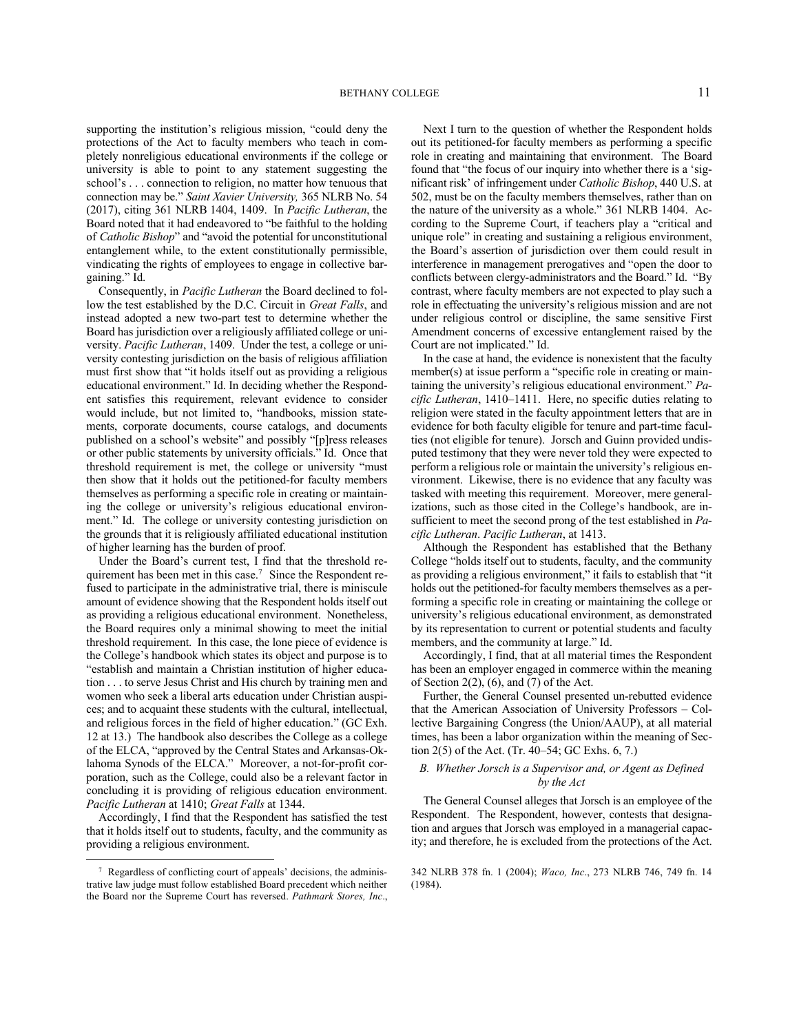supporting the institution's religious mission, "could deny the protections of the Act to faculty members who teach in completely nonreligious educational environments if the college or university is able to point to any statement suggesting the school's . . . connection to religion, no matter how tenuous that connection may be." *Saint Xavier University,* 365 NLRB No. 54 (2017), citing 361 NLRB 1404, 1409. In *Pacific Lutheran*, the Board noted that it had endeavored to "be faithful to the holding of *Catholic Bishop*" and "avoid the potential for unconstitutional entanglement while, to the extent constitutionally permissible, vindicating the rights of employees to engage in collective bargaining." Id.

Consequently, in *Pacific Lutheran* the Board declined to follow the test established by the D.C. Circuit in *Great Falls*, and instead adopted a new two-part test to determine whether the Board has jurisdiction over a religiously affiliated college or university. *Pacific Lutheran*, 1409. Under the test, a college or university contesting jurisdiction on the basis of religious affiliation must first show that "it holds itself out as providing a religious educational environment." Id. In deciding whether the Respondent satisfies this requirement, relevant evidence to consider would include, but not limited to, "handbooks, mission statements, corporate documents, course catalogs, and documents published on a school's website" and possibly "[p]ress releases or other public statements by university officials." Id. Once that threshold requirement is met, the college or university "must then show that it holds out the petitioned-for faculty members themselves as performing a specific role in creating or maintaining the college or university's religious educational environment." Id. The college or university contesting jurisdiction on the grounds that it is religiously affiliated educational institution of higher learning has the burden of proof.

Under the Board's current test, I find that the threshold requirement has been met in this case.<sup>7</sup> Since the Respondent refused to participate in the administrative trial, there is miniscule amount of evidence showing that the Respondent holds itself out as providing a religious educational environment. Nonetheless, the Board requires only a minimal showing to meet the initial threshold requirement. In this case, the lone piece of evidence is the College's handbook which states its object and purpose is to "establish and maintain a Christian institution of higher education . . . to serve Jesus Christ and His church by training men and women who seek a liberal arts education under Christian auspices; and to acquaint these students with the cultural, intellectual, and religious forces in the field of higher education." (GC Exh. 12 at 13.) The handbook also describes the College as a college of the ELCA, "approved by the Central States and Arkansas-Oklahoma Synods of the ELCA." Moreover, a not-for-profit corporation, such as the College, could also be a relevant factor in concluding it is providing of religious education environment. *Pacific Lutheran* at 1410; *Great Falls* at 1344.

Accordingly, I find that the Respondent has satisfied the test that it holds itself out to students, faculty, and the community as providing a religious environment.

Next I turn to the question of whether the Respondent holds out its petitioned-for faculty members as performing a specific role in creating and maintaining that environment. The Board found that "the focus of our inquiry into whether there is a 'significant risk' of infringement under *Catholic Bishop*, 440 U.S. at 502, must be on the faculty members themselves, rather than on the nature of the university as a whole." 361 NLRB 1404. According to the Supreme Court, if teachers play a "critical and unique role" in creating and sustaining a religious environment, the Board's assertion of jurisdiction over them could result in interference in management prerogatives and "open the door to conflicts between clergy-administrators and the Board." Id. "By contrast, where faculty members are not expected to play such a role in effectuating the university's religious mission and are not under religious control or discipline, the same sensitive First Amendment concerns of excessive entanglement raised by the Court are not implicated." Id.

In the case at hand, the evidence is nonexistent that the faculty member(s) at issue perform a "specific role in creating or maintaining the university's religious educational environment." *Pacific Lutheran*, 1410–1411. Here, no specific duties relating to religion were stated in the faculty appointment letters that are in evidence for both faculty eligible for tenure and part-time faculties (not eligible for tenure). Jorsch and Guinn provided undisputed testimony that they were never told they were expected to perform a religious role or maintain the university's religious environment. Likewise, there is no evidence that any faculty was tasked with meeting this requirement. Moreover, mere generalizations, such as those cited in the College's handbook, are insufficient to meet the second prong of the test established in *Pacific Lutheran*. *Pacific Lutheran*, at 1413.

Although the Respondent has established that the Bethany College "holds itself out to students, faculty, and the community as providing a religious environment," it fails to establish that "it holds out the petitioned-for faculty members themselves as a performing a specific role in creating or maintaining the college or university's religious educational environment, as demonstrated by its representation to current or potential students and faculty members, and the community at large." Id.

Accordingly, I find, that at all material times the Respondent has been an employer engaged in commerce within the meaning of Section  $2(2)$ ,  $(6)$ , and  $(7)$  of the Act.

Further, the General Counsel presented un-rebutted evidence that the American Association of University Professors – Collective Bargaining Congress (the Union/AAUP), at all material times, has been a labor organization within the meaning of Section 2(5) of the Act. (Tr. 40–54; GC Exhs. 6, 7.)

# *B. Whether Jorsch is a Supervisor and, or Agent as Defined by the Act*

The General Counsel alleges that Jorsch is an employee of the Respondent. The Respondent, however, contests that designation and argues that Jorsch was employed in a managerial capacity; and therefore, he is excluded from the protections of the Act.

<sup>7</sup> Regardless of conflicting court of appeals' decisions, the administrative law judge must follow established Board precedent which neither the Board nor the Supreme Court has reversed. *Pathmark Stores, Inc*.,

<sup>342</sup> NLRB 378 fn. 1 (2004); *Waco, Inc*., 273 NLRB 746, 749 fn. 14 (1984).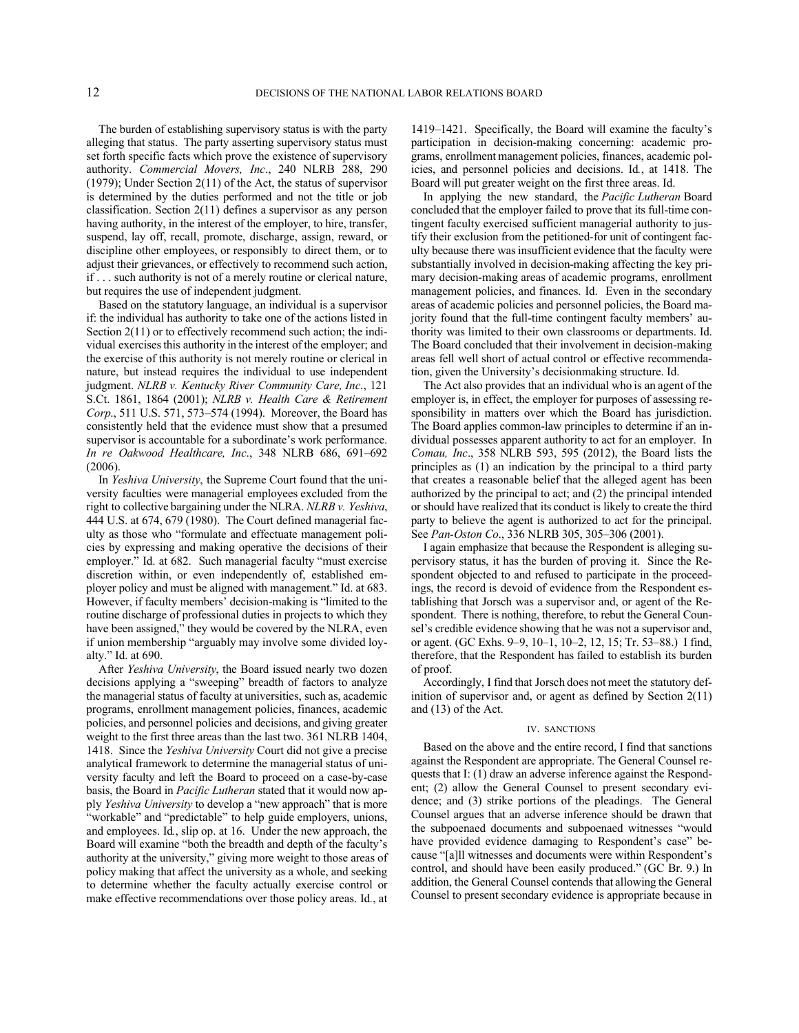The burden of establishing supervisory status is with the party alleging that status. The party asserting supervisory status must set forth specific facts which prove the existence of supervisory authority. *Commercial Movers, Inc*., 240 NLRB 288, 290 (1979); Under Section 2(11) of the Act, the status of supervisor is determined by the duties performed and not the title or job classification. Section 2(11) defines a supervisor as any person having authority, in the interest of the employer, to hire, transfer, suspend, lay off, recall, promote, discharge, assign, reward, or discipline other employees, or responsibly to direct them, or to adjust their grievances, or effectively to recommend such action, if . . . such authority is not of a merely routine or clerical nature, but requires the use of independent judgment.

Based on the statutory language, an individual is a supervisor if: the individual has authority to take one of the actions listed in Section 2(11) or to effectively recommend such action; the individual exercises this authority in the interest of the employer; and the exercise of this authority is not merely routine or clerical in nature, but instead requires the individual to use independent judgment. *NLRB v. Kentucky River Community Care, Inc*., 121 S.Ct. 1861, 1864 (2001); *NLRB v. Health Care & Retirement Corp*., 511 U.S. 571, 573–574 (1994). Moreover, the Board has consistently held that the evidence must show that a presumed supervisor is accountable for a subordinate's work performance. *In re Oakwood Healthcare, Inc*., 348 NLRB 686, 691–692 (2006).

In *Yeshiva University*, the Supreme Court found that the university faculties were managerial employees excluded from the right to collective bargaining under the NLRA. *NLRB v. Yeshiva*, 444 U.S. at 674, 679 (1980). The Court defined managerial faculty as those who "formulate and effectuate management policies by expressing and making operative the decisions of their employer." Id. at 682. Such managerial faculty "must exercise discretion within, or even independently of, established employer policy and must be aligned with management." Id. at 683. However, if faculty members' decision-making is "limited to the routine discharge of professional duties in projects to which they have been assigned," they would be covered by the NLRA, even if union membership "arguably may involve some divided loyalty." Id. at 690.

After *Yeshiva University*, the Board issued nearly two dozen decisions applying a "sweeping" breadth of factors to analyze the managerial status of faculty at universities, such as, academic programs, enrollment management policies, finances, academic policies, and personnel policies and decisions, and giving greater weight to the first three areas than the last two. 361 NLRB 1404, 1418. Since the *Yeshiva University* Court did not give a precise analytical framework to determine the managerial status of university faculty and left the Board to proceed on a case-by-case basis, the Board in *Pacific Lutheran* stated that it would now apply *Yeshiva University* to develop a "new approach" that is more "workable" and "predictable" to help guide employers, unions, and employees. Id*.*, slip op. at 16. Under the new approach, the Board will examine "both the breadth and depth of the faculty's authority at the university," giving more weight to those areas of policy making that affect the university as a whole, and seeking to determine whether the faculty actually exercise control or make effective recommendations over those policy areas. Id*.*, at

1419–1421. Specifically, the Board will examine the faculty's participation in decision-making concerning: academic programs, enrollment management policies, finances, academic policies, and personnel policies and decisions. Id*.*, at 1418. The Board will put greater weight on the first three areas. Id.

In applying the new standard, the *Pacific Lutheran* Board concluded that the employer failed to prove that its full-time contingent faculty exercised sufficient managerial authority to justify their exclusion from the petitioned-for unit of contingent faculty because there was insufficient evidence that the faculty were substantially involved in decision-making affecting the key primary decision-making areas of academic programs, enrollment management policies, and finances. Id. Even in the secondary areas of academic policies and personnel policies, the Board majority found that the full-time contingent faculty members' authority was limited to their own classrooms or departments. Id. The Board concluded that their involvement in decision-making areas fell well short of actual control or effective recommendation, given the University's decisionmaking structure. Id.

The Act also provides that an individual who is an agent of the employer is, in effect, the employer for purposes of assessing responsibility in matters over which the Board has jurisdiction. The Board applies common-law principles to determine if an individual possesses apparent authority to act for an employer. In *Comau, Inc*., 358 NLRB 593, 595 (2012), the Board lists the principles as (1) an indication by the principal to a third party that creates a reasonable belief that the alleged agent has been authorized by the principal to act; and (2) the principal intended or should have realized that its conduct is likely to create the third party to believe the agent is authorized to act for the principal. See *Pan-Oston Co*., 336 NLRB 305, 305–306 (2001).

I again emphasize that because the Respondent is alleging supervisory status, it has the burden of proving it. Since the Respondent objected to and refused to participate in the proceedings, the record is devoid of evidence from the Respondent establishing that Jorsch was a supervisor and, or agent of the Respondent. There is nothing, therefore, to rebut the General Counsel's credible evidence showing that he was not a supervisor and, or agent. (GC Exhs. 9–9, 10–1, 10–2, 12, 15; Tr. 53–88.) I find, therefore, that the Respondent has failed to establish its burden of proof.

Accordingly, I find that Jorsch does not meet the statutory definition of supervisor and, or agent as defined by Section 2(11) and (13) of the Act.

#### IV. SANCTIONS

Based on the above and the entire record, I find that sanctions against the Respondent are appropriate. The General Counsel requests that I: (1) draw an adverse inference against the Respondent; (2) allow the General Counsel to present secondary evidence; and (3) strike portions of the pleadings. The General Counsel argues that an adverse inference should be drawn that the subpoenaed documents and subpoenaed witnesses "would have provided evidence damaging to Respondent's case" because "[a]ll witnesses and documents were within Respondent's control, and should have been easily produced." (GC Br. 9.) In addition, the General Counsel contends that allowing the General Counsel to present secondary evidence is appropriate because in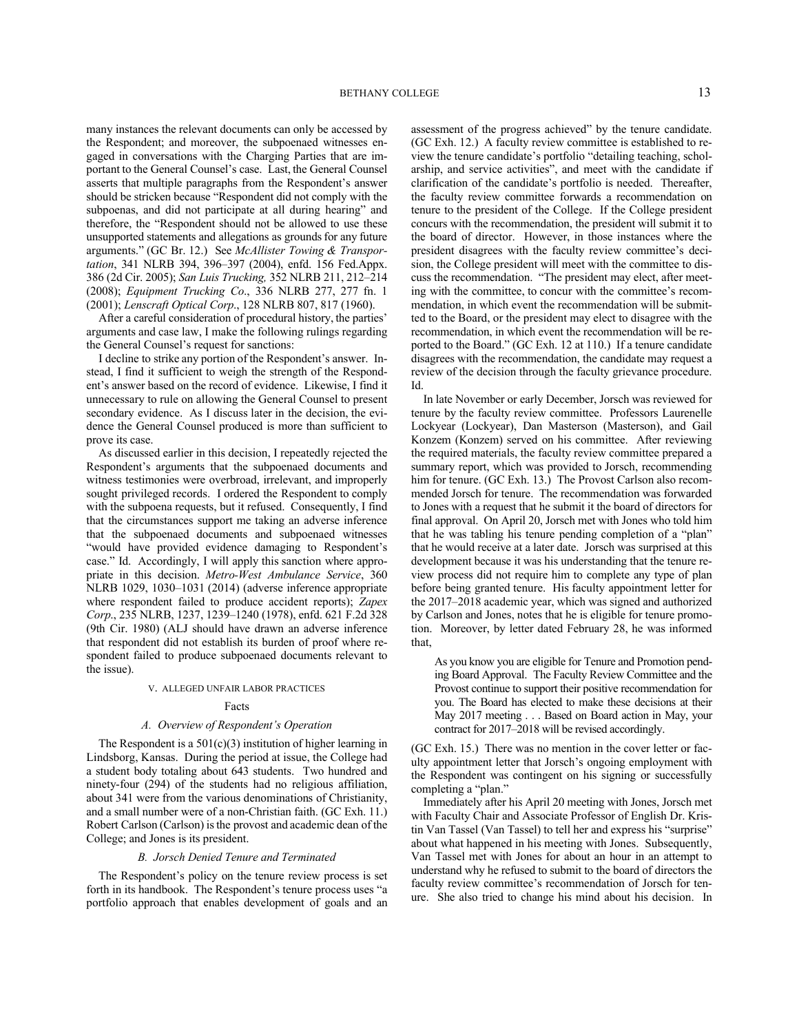many instances the relevant documents can only be accessed by the Respondent; and moreover, the subpoenaed witnesses engaged in conversations with the Charging Parties that are important to the General Counsel's case. Last, the General Counsel asserts that multiple paragraphs from the Respondent's answer should be stricken because "Respondent did not comply with the subpoenas, and did not participate at all during hearing" and therefore, the "Respondent should not be allowed to use these unsupported statements and allegations as grounds for any future arguments." (GC Br. 12.) See *McAllister Towing & Transportation*, 341 NLRB 394, 396–397 (2004), enfd. 156 Fed.Appx. 386 (2d Cir. 2005); *San Luis Trucking,* 352 NLRB 211, 212–214 (2008); *Equipment Trucking Co*., 336 NLRB 277, 277 fn. 1 (2001); *Lenscraft Optical Corp*., 128 NLRB 807, 817 (1960).

After a careful consideration of procedural history, the parties' arguments and case law, I make the following rulings regarding the General Counsel's request for sanctions:

I decline to strike any portion of the Respondent's answer. Instead, I find it sufficient to weigh the strength of the Respondent's answer based on the record of evidence. Likewise, I find it unnecessary to rule on allowing the General Counsel to present secondary evidence. As I discuss later in the decision, the evidence the General Counsel produced is more than sufficient to prove its case.

As discussed earlier in this decision, I repeatedly rejected the Respondent's arguments that the subpoenaed documents and witness testimonies were overbroad, irrelevant, and improperly sought privileged records. I ordered the Respondent to comply with the subpoena requests, but it refused. Consequently, I find that the circumstances support me taking an adverse inference that the subpoenaed documents and subpoenaed witnesses "would have provided evidence damaging to Respondent's case." Id. Accordingly, I will apply this sanction where appropriate in this decision. *Metro-West Ambulance Service*, 360 NLRB 1029, 1030–1031 (2014) (adverse inference appropriate where respondent failed to produce accident reports); *Zapex Corp*., 235 NLRB, 1237, 1239–1240 (1978), enfd. 621 F.2d 328 (9th Cir. 1980) (ALJ should have drawn an adverse inference that respondent did not establish its burden of proof where respondent failed to produce subpoenaed documents relevant to the issue).

#### V. ALLEGED UNFAIR LABOR PRACTICES

#### Facts

#### *A. Overview of Respondent's Operation*

The Respondent is a  $501(c)(3)$  institution of higher learning in Lindsborg, Kansas. During the period at issue, the College had a student body totaling about 643 students. Two hundred and ninety-four (294) of the students had no religious affiliation, about 341 were from the various denominations of Christianity, and a small number were of a non-Christian faith. (GC Exh. 11.) Robert Carlson (Carlson) is the provost and academic dean of the College; and Jones is its president.

#### *B. Jorsch Denied Tenure and Terminated*

The Respondent's policy on the tenure review process is set forth in its handbook. The Respondent's tenure process uses "a portfolio approach that enables development of goals and an assessment of the progress achieved" by the tenure candidate. (GC Exh. 12.) A faculty review committee is established to review the tenure candidate's portfolio "detailing teaching, scholarship, and service activities", and meet with the candidate if clarification of the candidate's portfolio is needed. Thereafter, the faculty review committee forwards a recommendation on tenure to the president of the College. If the College president concurs with the recommendation, the president will submit it to the board of director. However, in those instances where the president disagrees with the faculty review committee's decision, the College president will meet with the committee to discuss the recommendation. "The president may elect, after meeting with the committee, to concur with the committee's recommendation, in which event the recommendation will be submitted to the Board, or the president may elect to disagree with the recommendation, in which event the recommendation will be reported to the Board." (GC Exh. 12 at 110.) If a tenure candidate disagrees with the recommendation, the candidate may request a review of the decision through the faculty grievance procedure. Id.

In late November or early December, Jorsch was reviewed for tenure by the faculty review committee. Professors Laurenelle Lockyear (Lockyear), Dan Masterson (Masterson), and Gail Konzem (Konzem) served on his committee. After reviewing the required materials, the faculty review committee prepared a summary report, which was provided to Jorsch, recommending him for tenure. (GC Exh. 13.) The Provost Carlson also recommended Jorsch for tenure. The recommendation was forwarded to Jones with a request that he submit it the board of directors for final approval. On April 20, Jorsch met with Jones who told him that he was tabling his tenure pending completion of a "plan" that he would receive at a later date. Jorsch was surprised at this development because it was his understanding that the tenure review process did not require him to complete any type of plan before being granted tenure. His faculty appointment letter for the 2017–2018 academic year, which was signed and authorized by Carlson and Jones, notes that he is eligible for tenure promotion. Moreover, by letter dated February 28, he was informed that,

As you know you are eligible for Tenure and Promotion pending Board Approval. The Faculty Review Committee and the Provost continue to support their positive recommendation for you. The Board has elected to make these decisions at their May 2017 meeting . . . Based on Board action in May, your contract for 2017–2018 will be revised accordingly.

(GC Exh. 15.) There was no mention in the cover letter or faculty appointment letter that Jorsch's ongoing employment with the Respondent was contingent on his signing or successfully completing a "plan."

Immediately after his April 20 meeting with Jones, Jorsch met with Faculty Chair and Associate Professor of English Dr. Kristin Van Tassel (Van Tassel) to tell her and express his "surprise" about what happened in his meeting with Jones. Subsequently, Van Tassel met with Jones for about an hour in an attempt to understand why he refused to submit to the board of directors the faculty review committee's recommendation of Jorsch for tenure. She also tried to change his mind about his decision. In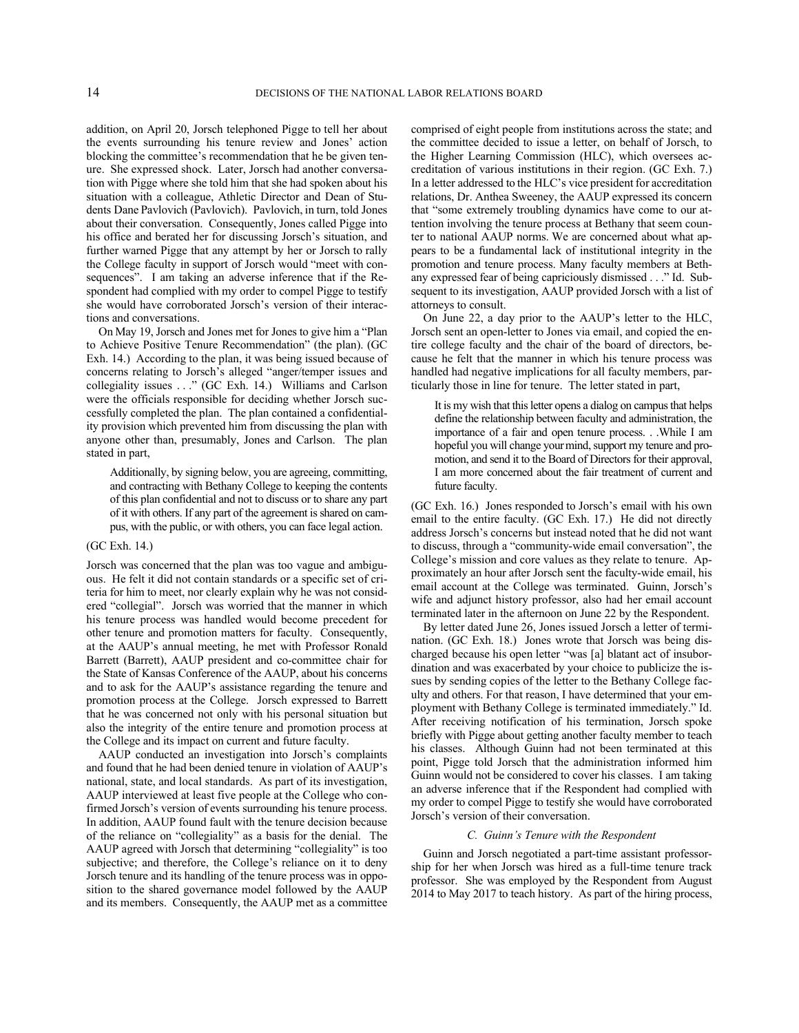addition, on April 20, Jorsch telephoned Pigge to tell her about the events surrounding his tenure review and Jones' action blocking the committee's recommendation that he be given tenure. She expressed shock. Later, Jorsch had another conversation with Pigge where she told him that she had spoken about his situation with a colleague, Athletic Director and Dean of Students Dane Pavlovich (Pavlovich). Pavlovich, in turn, told Jones about their conversation. Consequently, Jones called Pigge into his office and berated her for discussing Jorsch's situation, and further warned Pigge that any attempt by her or Jorsch to rally the College faculty in support of Jorsch would "meet with consequences". I am taking an adverse inference that if the Respondent had complied with my order to compel Pigge to testify she would have corroborated Jorsch's version of their interactions and conversations.

On May 19, Jorsch and Jones met for Jones to give him a "Plan to Achieve Positive Tenure Recommendation" (the plan). (GC Exh. 14.) According to the plan, it was being issued because of concerns relating to Jorsch's alleged "anger/temper issues and collegiality issues . . ." (GC Exh. 14.) Williams and Carlson were the officials responsible for deciding whether Jorsch successfully completed the plan. The plan contained a confidentiality provision which prevented him from discussing the plan with anyone other than, presumably, Jones and Carlson. The plan stated in part,

Additionally, by signing below, you are agreeing, committing, and contracting with Bethany College to keeping the contents of this plan confidential and not to discuss or to share any part of it with others. If any part of the agreement is shared on campus, with the public, or with others, you can face legal action.

#### (GC Exh. 14.)

Jorsch was concerned that the plan was too vague and ambiguous. He felt it did not contain standards or a specific set of criteria for him to meet, nor clearly explain why he was not considered "collegial". Jorsch was worried that the manner in which his tenure process was handled would become precedent for other tenure and promotion matters for faculty. Consequently, at the AAUP's annual meeting, he met with Professor Ronald Barrett (Barrett), AAUP president and co-committee chair for the State of Kansas Conference of the AAUP, about his concerns and to ask for the AAUP's assistance regarding the tenure and promotion process at the College. Jorsch expressed to Barrett that he was concerned not only with his personal situation but also the integrity of the entire tenure and promotion process at the College and its impact on current and future faculty.

AAUP conducted an investigation into Jorsch's complaints and found that he had been denied tenure in violation of AAUP's national, state, and local standards. As part of its investigation, AAUP interviewed at least five people at the College who confirmed Jorsch's version of events surrounding his tenure process. In addition, AAUP found fault with the tenure decision because of the reliance on "collegiality" as a basis for the denial. The AAUP agreed with Jorsch that determining "collegiality" is too subjective; and therefore, the College's reliance on it to deny Jorsch tenure and its handling of the tenure process was in opposition to the shared governance model followed by the AAUP and its members. Consequently, the AAUP met as a committee comprised of eight people from institutions across the state; and the committee decided to issue a letter, on behalf of Jorsch, to the Higher Learning Commission (HLC), which oversees accreditation of various institutions in their region. (GC Exh. 7.) In a letter addressed to the HLC's vice president for accreditation relations, Dr. Anthea Sweeney, the AAUP expressed its concern that "some extremely troubling dynamics have come to our attention involving the tenure process at Bethany that seem counter to national AAUP norms. We are concerned about what appears to be a fundamental lack of institutional integrity in the promotion and tenure process. Many faculty members at Bethany expressed fear of being capriciously dismissed . . ." Id. Subsequent to its investigation, AAUP provided Jorsch with a list of attorneys to consult.

On June 22, a day prior to the AAUP's letter to the HLC, Jorsch sent an open-letter to Jones via email, and copied the entire college faculty and the chair of the board of directors, because he felt that the manner in which his tenure process was handled had negative implications for all faculty members, particularly those in line for tenure. The letter stated in part,

It is my wish that this letter opens a dialog on campus that helps define the relationship between faculty and administration, the importance of a fair and open tenure process. . .While I am hopeful you will change your mind, support my tenure and promotion, and send it to the Board of Directors for their approval, I am more concerned about the fair treatment of current and future faculty.

(GC Exh. 16.) Jones responded to Jorsch's email with his own email to the entire faculty. (GC Exh. 17.) He did not directly address Jorsch's concerns but instead noted that he did not want to discuss, through a "community-wide email conversation", the College's mission and core values as they relate to tenure. Approximately an hour after Jorsch sent the faculty-wide email, his email account at the College was terminated. Guinn, Jorsch's wife and adjunct history professor, also had her email account terminated later in the afternoon on June 22 by the Respondent.

By letter dated June 26, Jones issued Jorsch a letter of termination. (GC Exh. 18.) Jones wrote that Jorsch was being discharged because his open letter "was [a] blatant act of insubordination and was exacerbated by your choice to publicize the issues by sending copies of the letter to the Bethany College faculty and others. For that reason, I have determined that your employment with Bethany College is terminated immediately." Id. After receiving notification of his termination, Jorsch spoke briefly with Pigge about getting another faculty member to teach his classes. Although Guinn had not been terminated at this point, Pigge told Jorsch that the administration informed him Guinn would not be considered to cover his classes. I am taking an adverse inference that if the Respondent had complied with my order to compel Pigge to testify she would have corroborated Jorsch's version of their conversation.

#### *C. Guinn's Tenure with the Respondent*

Guinn and Jorsch negotiated a part-time assistant professorship for her when Jorsch was hired as a full-time tenure track professor. She was employed by the Respondent from August 2014 to May 2017 to teach history. As part of the hiring process,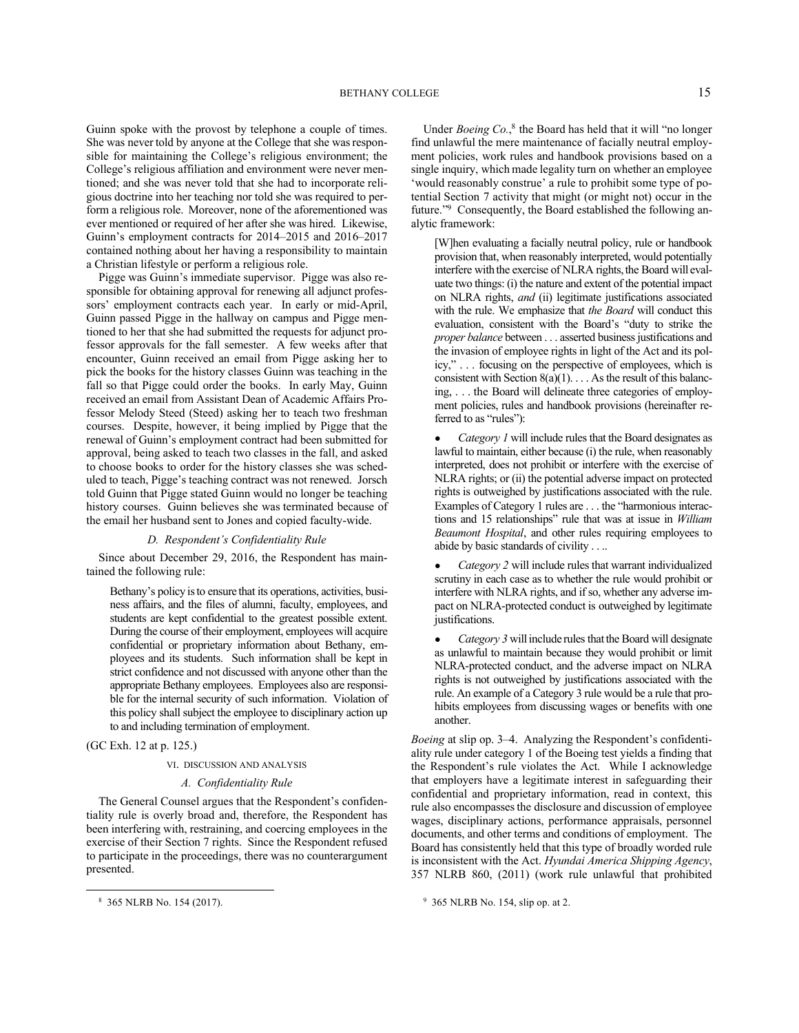Guinn spoke with the provost by telephone a couple of times. She was never told by anyone at the College that she was responsible for maintaining the College's religious environment; the College's religious affiliation and environment were never mentioned; and she was never told that she had to incorporate religious doctrine into her teaching nor told she was required to perform a religious role. Moreover, none of the aforementioned was ever mentioned or required of her after she was hired. Likewise, Guinn's employment contracts for 2014–2015 and 2016–2017 contained nothing about her having a responsibility to maintain a Christian lifestyle or perform a religious role.

Pigge was Guinn's immediate supervisor. Pigge was also responsible for obtaining approval for renewing all adjunct professors' employment contracts each year. In early or mid-April, Guinn passed Pigge in the hallway on campus and Pigge mentioned to her that she had submitted the requests for adjunct professor approvals for the fall semester. A few weeks after that encounter, Guinn received an email from Pigge asking her to pick the books for the history classes Guinn was teaching in the fall so that Pigge could order the books. In early May, Guinn received an email from Assistant Dean of Academic Affairs Professor Melody Steed (Steed) asking her to teach two freshman courses. Despite, however, it being implied by Pigge that the renewal of Guinn's employment contract had been submitted for approval, being asked to teach two classes in the fall, and asked to choose books to order for the history classes she was scheduled to teach, Pigge's teaching contract was not renewed. Jorsch told Guinn that Pigge stated Guinn would no longer be teaching history courses. Guinn believes she was terminated because of the email her husband sent to Jones and copied faculty-wide.

### *D. Respondent's Confidentiality Rule*

Since about December 29, 2016, the Respondent has maintained the following rule:

Bethany's policy is to ensure that its operations, activities, business affairs, and the files of alumni, faculty, employees, and students are kept confidential to the greatest possible extent. During the course of their employment, employees will acquire confidential or proprietary information about Bethany, employees and its students. Such information shall be kept in strict confidence and not discussed with anyone other than the appropriate Bethany employees. Employees also are responsible for the internal security of such information. Violation of this policy shall subject the employee to disciplinary action up to and including termination of employment.

(GC Exh. 12 at p. 125.)

#### VI. DISCUSSION AND ANALYSIS

# *A. Confidentiality Rule*

The General Counsel argues that the Respondent's confidentiality rule is overly broad and, therefore, the Respondent has been interfering with, restraining, and coercing employees in the exercise of their Section 7 rights. Since the Respondent refused to participate in the proceedings, there was no counterargument presented.

Under *Boeing Co.*,<sup>8</sup> the Board has held that it will "no longer find unlawful the mere maintenance of facially neutral employment policies, work rules and handbook provisions based on a single inquiry, which made legality turn on whether an employee 'would reasonably construe' a rule to prohibit some type of potential Section 7 activity that might (or might not) occur in the future."<sup>9</sup> Consequently, the Board established the following analytic framework:

[W]hen evaluating a facially neutral policy, rule or handbook provision that, when reasonably interpreted, would potentially interfere with the exercise of NLRA rights, the Board will evaluate two things: (i) the nature and extent of the potential impact on NLRA rights, *and* (ii) legitimate justifications associated with the rule. We emphasize that *the Board* will conduct this evaluation, consistent with the Board's "duty to strike the *proper balance* between . . . asserted business justifications and the invasion of employee rights in light of the Act and its policy," . . . focusing on the perspective of employees, which is consistent with Section  $8(a)(1)$ ... As the result of this balancing, . . . the Board will delineate three categories of employment policies, rules and handbook provisions (hereinafter referred to as "rules"):

Category 1 will include rules that the Board designates as lawful to maintain, either because (i) the rule, when reasonably interpreted, does not prohibit or interfere with the exercise of NLRA rights; or (ii) the potential adverse impact on protected rights is outweighed by justifications associated with the rule. Examples of Category 1 rules are . . . the "harmonious interactions and 15 relationships" rule that was at issue in *William Beaumont Hospital*, and other rules requiring employees to abide by basic standards of civility . . ..

*Category 2* will include rules that warrant individualized scrutiny in each case as to whether the rule would prohibit or interfere with NLRA rights, and if so, whether any adverse impact on NLRA-protected conduct is outweighed by legitimate justifications.

Category 3 will include rules that the Board will designate as unlawful to maintain because they would prohibit or limit NLRA-protected conduct, and the adverse impact on NLRA rights is not outweighed by justifications associated with the rule. An example of a Category 3 rule would be a rule that prohibits employees from discussing wages or benefits with one another.

*Boeing* at slip op. 3–4. Analyzing the Respondent's confidentiality rule under category 1 of the Boeing test yields a finding that the Respondent's rule violates the Act. While I acknowledge that employers have a legitimate interest in safeguarding their confidential and proprietary information, read in context, this rule also encompasses the disclosure and discussion of employee wages, disciplinary actions, performance appraisals, personnel documents, and other terms and conditions of employment. The Board has consistently held that this type of broadly worded rule is inconsistent with the Act. *Hyundai America Shipping Agency*, 357 NLRB 860, (2011) (work rule unlawful that prohibited

<sup>8</sup> 365 NLRB No. 154 (2017).

<sup>9</sup> 365 NLRB No. 154, slip op. at 2.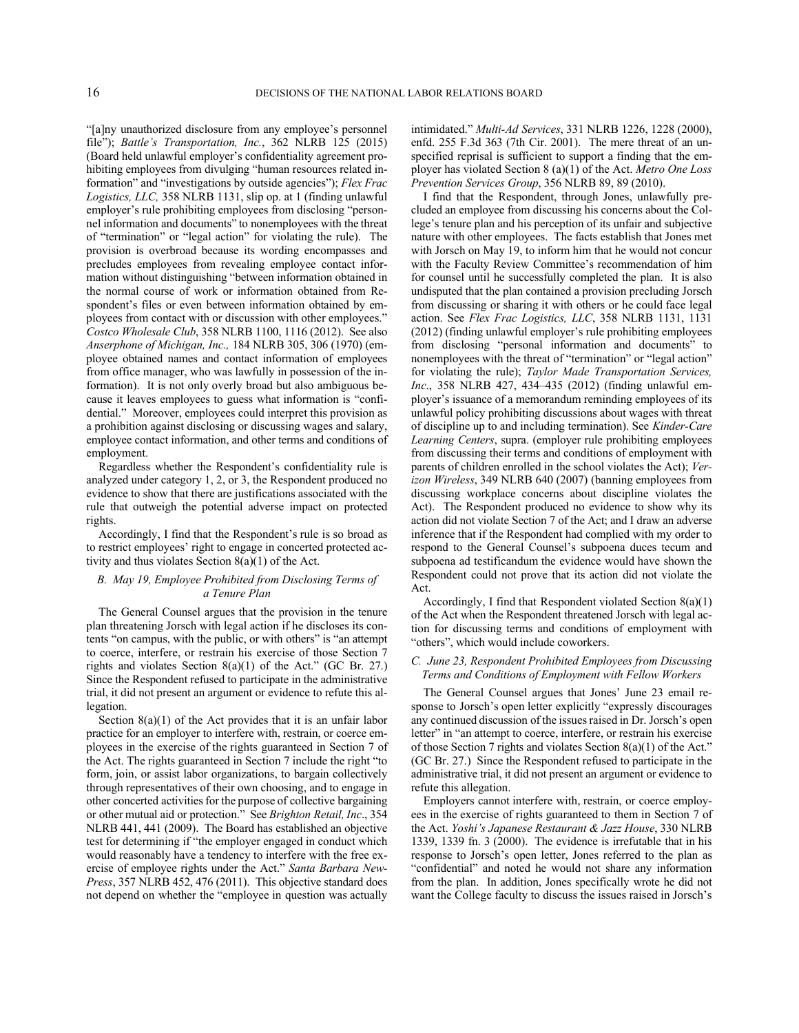"[a]ny unauthorized disclosure from any employee's personnel file"); *Battle's Transportation, Inc.*, 362 NLRB 125 (2015) (Board held unlawful employer's confidentiality agreement prohibiting employees from divulging "human resources related information" and "investigations by outside agencies"); *Flex Frac Logistics, LLC,* 358 NLRB 1131, slip op. at 1 (finding unlawful employer's rule prohibiting employees from disclosing "personnel information and documents" to nonemployees with the threat of "termination" or "legal action" for violating the rule). The provision is overbroad because its wording encompasses and precludes employees from revealing employee contact information without distinguishing "between information obtained in the normal course of work or information obtained from Respondent's files or even between information obtained by employees from contact with or discussion with other employees." *Costco Wholesale Club*, 358 NLRB 1100, 1116 (2012). See also *Anserphone of Michigan, Inc.,* 184 NLRB 305, 306 (1970) (employee obtained names and contact information of employees from office manager, who was lawfully in possession of the information). It is not only overly broad but also ambiguous because it leaves employees to guess what information is "confidential." Moreover, employees could interpret this provision as a prohibition against disclosing or discussing wages and salary, employee contact information, and other terms and conditions of employment.

Regardless whether the Respondent's confidentiality rule is analyzed under category 1, 2, or 3, the Respondent produced no evidence to show that there are justifications associated with the rule that outweigh the potential adverse impact on protected rights.

Accordingly, I find that the Respondent's rule is so broad as to restrict employees' right to engage in concerted protected activity and thus violates Section 8(a)(1) of the Act.

# *B. May 19, Employee Prohibited from Disclosing Terms of a Tenure Plan*

The General Counsel argues that the provision in the tenure plan threatening Jorsch with legal action if he discloses its contents "on campus, with the public, or with others" is "an attempt to coerce, interfere, or restrain his exercise of those Section 7 rights and violates Section 8(a)(1) of the Act." (GC Br. 27.) Since the Respondent refused to participate in the administrative trial, it did not present an argument or evidence to refute this allegation.

Section  $8(a)(1)$  of the Act provides that it is an unfair labor practice for an employer to interfere with, restrain, or coerce employees in the exercise of the rights guaranteed in Section 7 of the Act. The rights guaranteed in Section 7 include the right "to form, join, or assist labor organizations, to bargain collectively through representatives of their own choosing, and to engage in other concerted activities for the purpose of collective bargaining or other mutual aid or protection." See *Brighton Retail, Inc*., 354 NLRB 441, 441 (2009). The Board has established an objective test for determining if "the employer engaged in conduct which would reasonably have a tendency to interfere with the free exercise of employee rights under the Act." *Santa Barbara New-Press*, 357 NLRB 452, 476 (2011). This objective standard does not depend on whether the "employee in question was actually

intimidated." *Multi-Ad Services*, 331 NLRB 1226, 1228 (2000), enfd. 255 F.3d 363 (7th Cir. 2001). The mere threat of an unspecified reprisal is sufficient to support a finding that the employer has violated Section 8 (a)(1) of the Act. *Metro One Loss Prevention Services Group*, 356 NLRB 89, 89 (2010).

I find that the Respondent, through Jones, unlawfully precluded an employee from discussing his concerns about the College's tenure plan and his perception of its unfair and subjective nature with other employees. The facts establish that Jones met with Jorsch on May 19, to inform him that he would not concur with the Faculty Review Committee's recommendation of him for counsel until he successfully completed the plan. It is also undisputed that the plan contained a provision precluding Jorsch from discussing or sharing it with others or he could face legal action. See *Flex Frac Logistics, LLC*, 358 NLRB 1131, 1131 (2012) (finding unlawful employer's rule prohibiting employees from disclosing "personal information and documents" to nonemployees with the threat of "termination" or "legal action" for violating the rule); *Taylor Made Transportation Services, Inc*., 358 NLRB 427, 434–435 (2012) (finding unlawful employer's issuance of a memorandum reminding employees of its unlawful policy prohibiting discussions about wages with threat of discipline up to and including termination). See *Kinder-Care Learning Centers*, supra. (employer rule prohibiting employees from discussing their terms and conditions of employment with parents of children enrolled in the school violates the Act); *Verizon Wireless*, 349 NLRB 640 (2007) (banning employees from discussing workplace concerns about discipline violates the Act). The Respondent produced no evidence to show why its action did not violate Section 7 of the Act; and I draw an adverse inference that if the Respondent had complied with my order to respond to the General Counsel's subpoena duces tecum and subpoena ad testificandum the evidence would have shown the Respondent could not prove that its action did not violate the Act.

Accordingly, I find that Respondent violated Section 8(a)(1) of the Act when the Respondent threatened Jorsch with legal action for discussing terms and conditions of employment with "others", which would include coworkers.

## *C. June 23, Respondent Prohibited Employees from Discussing Terms and Conditions of Employment with Fellow Workers*

The General Counsel argues that Jones' June 23 email response to Jorsch's open letter explicitly "expressly discourages any continued discussion of the issues raised in Dr. Jorsch's open letter" in "an attempt to coerce, interfere, or restrain his exercise of those Section 7 rights and violates Section 8(a)(1) of the Act." (GC Br. 27.) Since the Respondent refused to participate in the administrative trial, it did not present an argument or evidence to refute this allegation.

Employers cannot interfere with, restrain, or coerce employees in the exercise of rights guaranteed to them in Section 7 of the Act. *Yoshi's Japanese Restaurant & Jazz House*, 330 NLRB 1339, 1339 fn. 3  $(2000)$ . The evidence is irrefutable that in his response to Jorsch's open letter, Jones referred to the plan as "confidential" and noted he would not share any information from the plan. In addition, Jones specifically wrote he did not want the College faculty to discuss the issues raised in Jorsch's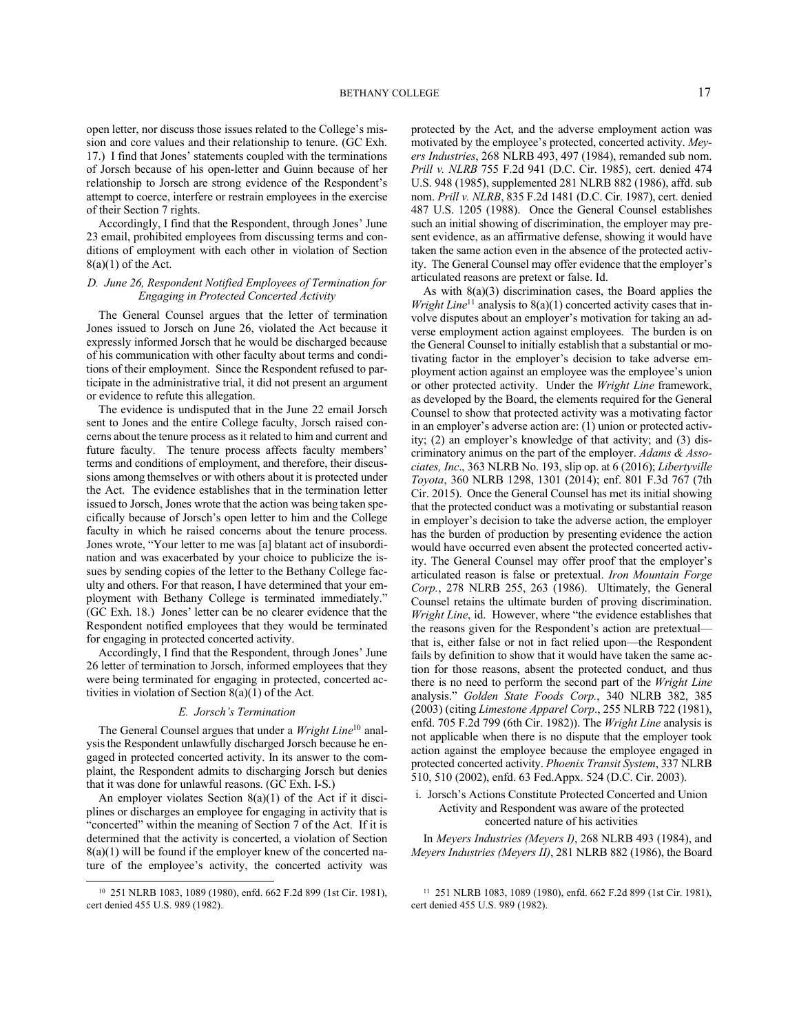open letter, nor discuss those issues related to the College's mission and core values and their relationship to tenure. (GC Exh. 17.) I find that Jones' statements coupled with the terminations of Jorsch because of his open-letter and Guinn because of her relationship to Jorsch are strong evidence of the Respondent's attempt to coerce, interfere or restrain employees in the exercise of their Section 7 rights.

Accordingly, I find that the Respondent, through Jones' June 23 email, prohibited employees from discussing terms and conditions of employment with each other in violation of Section  $8(a)(1)$  of the Act.

# *D. June 26, Respondent Notified Employees of Termination for Engaging in Protected Concerted Activity*

The General Counsel argues that the letter of termination Jones issued to Jorsch on June 26, violated the Act because it expressly informed Jorsch that he would be discharged because of his communication with other faculty about terms and conditions of their employment. Since the Respondent refused to participate in the administrative trial, it did not present an argument or evidence to refute this allegation.

The evidence is undisputed that in the June 22 email Jorsch sent to Jones and the entire College faculty, Jorsch raised concerns about the tenure process as it related to him and current and future faculty. The tenure process affects faculty members' terms and conditions of employment, and therefore, their discussions among themselves or with others about it is protected under the Act. The evidence establishes that in the termination letter issued to Jorsch, Jones wrote that the action was being taken specifically because of Jorsch's open letter to him and the College faculty in which he raised concerns about the tenure process. Jones wrote, "Your letter to me was [a] blatant act of insubordination and was exacerbated by your choice to publicize the issues by sending copies of the letter to the Bethany College faculty and others. For that reason, I have determined that your employment with Bethany College is terminated immediately." (GC Exh. 18.) Jones' letter can be no clearer evidence that the Respondent notified employees that they would be terminated for engaging in protected concerted activity.

Accordingly, I find that the Respondent, through Jones' June 26 letter of termination to Jorsch, informed employees that they were being terminated for engaging in protected, concerted activities in violation of Section 8(a)(1) of the Act.

### *E. Jorsch's Termination*

The General Counsel argues that under a *Wright Line*<sup>10</sup> analysis the Respondent unlawfully discharged Jorsch because he engaged in protected concerted activity. In its answer to the complaint, the Respondent admits to discharging Jorsch but denies that it was done for unlawful reasons. (GC Exh. I-S.)

An employer violates Section 8(a)(1) of the Act if it disciplines or discharges an employee for engaging in activity that is "concerted" within the meaning of Section 7 of the Act. If it is determined that the activity is concerted, a violation of Section 8(a)(1) will be found if the employer knew of the concerted nature of the employee's activity, the concerted activity was protected by the Act, and the adverse employment action was motivated by the employee's protected, concerted activity. *Meyers Industries*, 268 NLRB 493, 497 (1984), remanded sub nom. *Prill v. NLRB* 755 F.2d 941 (D.C. Cir. 1985), cert. denied 474 U.S. 948 (1985), supplemented 281 NLRB 882 (1986), affd. sub nom. *Prill v. NLRB*, 835 F.2d 1481 (D.C. Cir. 1987), cert. denied 487 U.S. 1205 (1988). Once the General Counsel establishes such an initial showing of discrimination, the employer may present evidence, as an affirmative defense, showing it would have taken the same action even in the absence of the protected activity. The General Counsel may offer evidence that the employer's articulated reasons are pretext or false. Id.

As with 8(a)(3) discrimination cases, the Board applies the *Wright Line*<sup>11</sup> analysis to 8(a)(1) concerted activity cases that involve disputes about an employer's motivation for taking an adverse employment action against employees. The burden is on the General Counsel to initially establish that a substantial or motivating factor in the employer's decision to take adverse employment action against an employee was the employee's union or other protected activity. Under the *Wright Line* framework, as developed by the Board, the elements required for the General Counsel to show that protected activity was a motivating factor in an employer's adverse action are: (1) union or protected activity; (2) an employer's knowledge of that activity; and (3) discriminatory animus on the part of the employer. *Adams & Associates, Inc*., 363 NLRB No. 193, slip op. at 6 (2016); *Libertyville Toyota*, 360 NLRB 1298, 1301 (2014); enf. 801 F.3d 767 (7th Cir. 2015). Once the General Counsel has met its initial showing that the protected conduct was a motivating or substantial reason in employer's decision to take the adverse action, the employer has the burden of production by presenting evidence the action would have occurred even absent the protected concerted activity. The General Counsel may offer proof that the employer's articulated reason is false or pretextual. *Iron Mountain Forge Corp.*, 278 NLRB 255, 263 (1986). Ultimately, the General Counsel retains the ultimate burden of proving discrimination. *Wright Line*, id. However, where "the evidence establishes that the reasons given for the Respondent's action are pretextual that is, either false or not in fact relied upon—the Respondent fails by definition to show that it would have taken the same action for those reasons, absent the protected conduct, and thus there is no need to perform the second part of the *Wright Line* analysis." *Golden State Foods Corp.*, 340 NLRB 382, 385 (2003) (citing *Limestone Apparel Corp*., 255 NLRB 722 (1981), enfd. 705 F.2d 799 (6th Cir. 1982)). The *Wright Line* analysis is not applicable when there is no dispute that the employer took action against the employee because the employee engaged in protected concerted activity. *Phoenix Transit System*, 337 NLRB 510, 510 (2002), enfd. 63 Fed.Appx. 524 (D.C. Cir. 2003).

# i. Jorsch's Actions Constitute Protected Concerted and Union Activity and Respondent was aware of the protected concerted nature of his activities

In *Meyers Industries (Meyers I)*, 268 NLRB 493 (1984), and *Meyers Industries (Meyers II)*, 281 NLRB 882 (1986), the Board

<sup>10</sup> 251 NLRB 1083, 1089 (1980), enfd. 662 F.2d 899 (1st Cir. 1981), cert denied 455 U.S. 989 (1982).

<sup>11</sup> 251 NLRB 1083, 1089 (1980), enfd. 662 F.2d 899 (1st Cir. 1981), cert denied 455 U.S. 989 (1982).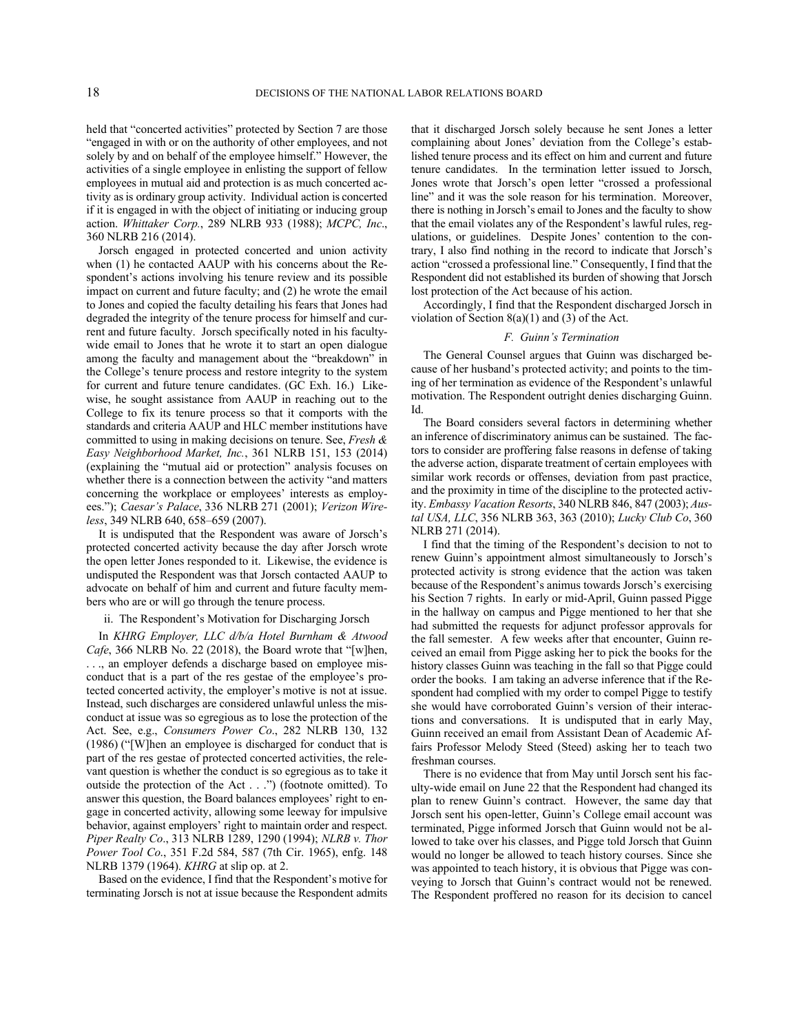held that "concerted activities" protected by Section 7 are those "engaged in with or on the authority of other employees, and not solely by and on behalf of the employee himself." However, the activities of a single employee in enlisting the support of fellow employees in mutual aid and protection is as much concerted activity as is ordinary group activity. Individual action is concerted if it is engaged in with the object of initiating or inducing group action. *Whittaker Corp.*, 289 NLRB 933 (1988); *MCPC, Inc*., 360 NLRB 216 (2014).

Jorsch engaged in protected concerted and union activity when (1) he contacted AAUP with his concerns about the Respondent's actions involving his tenure review and its possible impact on current and future faculty; and (2) he wrote the email to Jones and copied the faculty detailing his fears that Jones had degraded the integrity of the tenure process for himself and current and future faculty. Jorsch specifically noted in his facultywide email to Jones that he wrote it to start an open dialogue among the faculty and management about the "breakdown" in the College's tenure process and restore integrity to the system for current and future tenure candidates. (GC Exh. 16.) Likewise, he sought assistance from AAUP in reaching out to the College to fix its tenure process so that it comports with the standards and criteria AAUP and HLC member institutions have committed to using in making decisions on tenure. See, *Fresh & Easy Neighborhood Market, Inc.*, 361 NLRB 151, 153 (2014) (explaining the "mutual aid or protection" analysis focuses on whether there is a connection between the activity "and matters concerning the workplace or employees' interests as employees."); *Caesar's Palace*, 336 NLRB 271 (2001); *Verizon Wireless*, 349 NLRB 640, 658–659 (2007).

It is undisputed that the Respondent was aware of Jorsch's protected concerted activity because the day after Jorsch wrote the open letter Jones responded to it. Likewise, the evidence is undisputed the Respondent was that Jorsch contacted AAUP to advocate on behalf of him and current and future faculty members who are or will go through the tenure process.

#### ii. The Respondent's Motivation for Discharging Jorsch

In *KHRG Employer, LLC d/b/a Hotel Burnham & Atwood Cafe*, 366 NLRB No. 22 (2018), the Board wrote that "[w]hen, . . ., an employer defends a discharge based on employee misconduct that is a part of the res gestae of the employee's protected concerted activity, the employer's motive is not at issue. Instead, such discharges are considered unlawful unless the misconduct at issue was so egregious as to lose the protection of the Act. See, e.g., *Consumers Power Co*., 282 NLRB 130, 132 (1986) ("[W]hen an employee is discharged for conduct that is part of the res gestae of protected concerted activities, the relevant question is whether the conduct is so egregious as to take it outside the protection of the Act . . .") (footnote omitted). To answer this question, the Board balances employees' right to engage in concerted activity, allowing some leeway for impulsive behavior, against employers' right to maintain order and respect. *Piper Realty Co*., 313 NLRB 1289, 1290 (1994); *NLRB v. Thor Power Tool Co*., 351 F.2d 584, 587 (7th Cir. 1965), enfg. 148 NLRB 1379 (1964). *KHRG* at slip op. at 2.

Based on the evidence, I find that the Respondent's motive for terminating Jorsch is not at issue because the Respondent admits that it discharged Jorsch solely because he sent Jones a letter complaining about Jones' deviation from the College's established tenure process and its effect on him and current and future tenure candidates. In the termination letter issued to Jorsch, Jones wrote that Jorsch's open letter "crossed a professional line" and it was the sole reason for his termination. Moreover, there is nothing in Jorsch's email to Jones and the faculty to show that the email violates any of the Respondent's lawful rules, regulations, or guidelines. Despite Jones' contention to the contrary, I also find nothing in the record to indicate that Jorsch's action "crossed a professional line." Consequently, I find that the Respondent did not established its burden of showing that Jorsch lost protection of the Act because of his action.

Accordingly, I find that the Respondent discharged Jorsch in violation of Section  $8(a)(1)$  and  $(3)$  of the Act.

#### *F. Guinn's Termination*

The General Counsel argues that Guinn was discharged because of her husband's protected activity; and points to the timing of her termination as evidence of the Respondent's unlawful motivation. The Respondent outright denies discharging Guinn. Id.

The Board considers several factors in determining whether an inference of discriminatory animus can be sustained. The factors to consider are proffering false reasons in defense of taking the adverse action, disparate treatment of certain employees with similar work records or offenses, deviation from past practice, and the proximity in time of the discipline to the protected activity. *Embassy Vacation Resorts*, 340 NLRB 846, 847 (2003); *Austal USA, LLC*, 356 NLRB 363, 363 (2010); *Lucky Club Co*, 360 NLRB 271 (2014).

I find that the timing of the Respondent's decision to not to renew Guinn's appointment almost simultaneously to Jorsch's protected activity is strong evidence that the action was taken because of the Respondent's animus towards Jorsch's exercising his Section 7 rights. In early or mid-April, Guinn passed Pigge in the hallway on campus and Pigge mentioned to her that she had submitted the requests for adjunct professor approvals for the fall semester. A few weeks after that encounter, Guinn received an email from Pigge asking her to pick the books for the history classes Guinn was teaching in the fall so that Pigge could order the books. I am taking an adverse inference that if the Respondent had complied with my order to compel Pigge to testify she would have corroborated Guinn's version of their interactions and conversations. It is undisputed that in early May, Guinn received an email from Assistant Dean of Academic Affairs Professor Melody Steed (Steed) asking her to teach two freshman courses.

There is no evidence that from May until Jorsch sent his faculty-wide email on June 22 that the Respondent had changed its plan to renew Guinn's contract. However, the same day that Jorsch sent his open-letter, Guinn's College email account was terminated, Pigge informed Jorsch that Guinn would not be allowed to take over his classes, and Pigge told Jorsch that Guinn would no longer be allowed to teach history courses. Since she was appointed to teach history, it is obvious that Pigge was conveying to Jorsch that Guinn's contract would not be renewed. The Respondent proffered no reason for its decision to cancel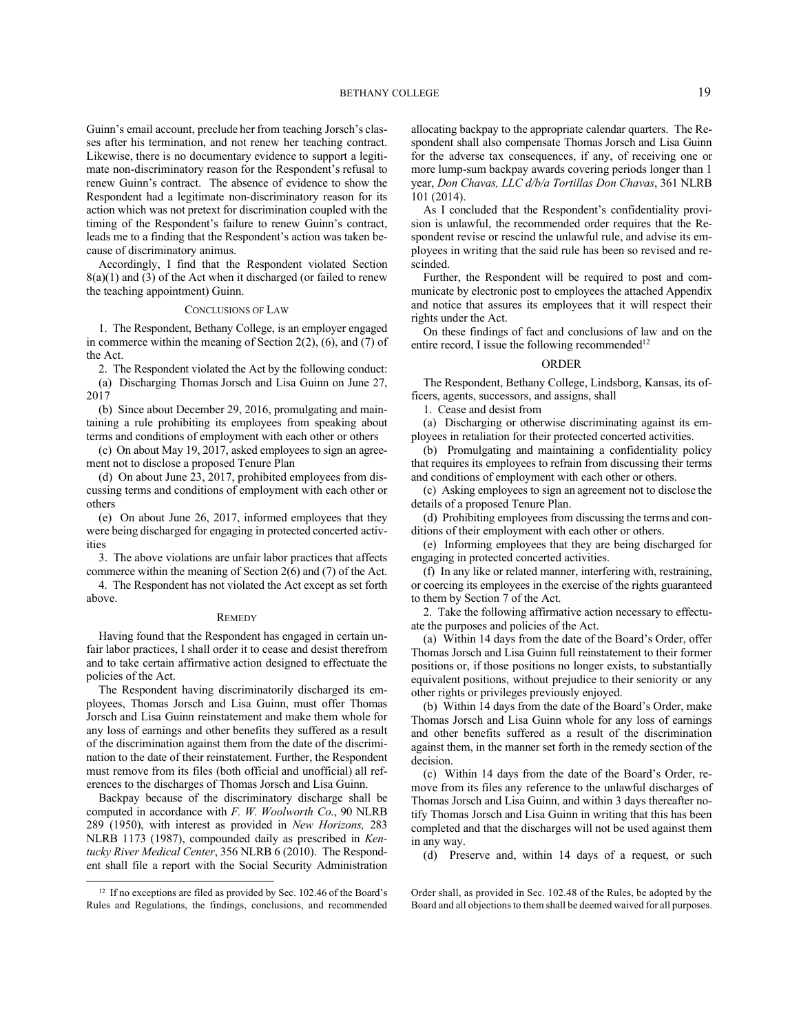### BETHANY COLLEGE 19

Guinn's email account, preclude her from teaching Jorsch's classes after his termination, and not renew her teaching contract. Likewise, there is no documentary evidence to support a legitimate non-discriminatory reason for the Respondent's refusal to renew Guinn's contract. The absence of evidence to show the Respondent had a legitimate non-discriminatory reason for its action which was not pretext for discrimination coupled with the timing of the Respondent's failure to renew Guinn's contract, leads me to a finding that the Respondent's action was taken because of discriminatory animus.

Accordingly, I find that the Respondent violated Section  $8(a)(1)$  and  $(3)$  of the Act when it discharged (or failed to renew the teaching appointment) Guinn.

#### CONCLUSIONS OF LAW

1. The Respondent, Bethany College, is an employer engaged in commerce within the meaning of Section 2(2), (6), and (7) of the Act.

2. The Respondent violated the Act by the following conduct: (a) Discharging Thomas Jorsch and Lisa Guinn on June 27, 2017

(b) Since about December 29, 2016, promulgating and maintaining a rule prohibiting its employees from speaking about terms and conditions of employment with each other or others

(c) On about May 19, 2017, asked employees to sign an agreement not to disclose a proposed Tenure Plan

(d) On about June 23, 2017, prohibited employees from discussing terms and conditions of employment with each other or others

(e) On about June 26, 2017, informed employees that they were being discharged for engaging in protected concerted activities

3. The above violations are unfair labor practices that affects commerce within the meaning of Section 2(6) and (7) of the Act.

4. The Respondent has not violated the Act except as set forth above.

#### **REMEDY**

Having found that the Respondent has engaged in certain unfair labor practices, I shall order it to cease and desist therefrom and to take certain affirmative action designed to effectuate the policies of the Act.

The Respondent having discriminatorily discharged its employees, Thomas Jorsch and Lisa Guinn, must offer Thomas Jorsch and Lisa Guinn reinstatement and make them whole for any loss of earnings and other benefits they suffered as a result of the discrimination against them from the date of the discrimination to the date of their reinstatement. Further, the Respondent must remove from its files (both official and unofficial) all references to the discharges of Thomas Jorsch and Lisa Guinn.

Backpay because of the discriminatory discharge shall be computed in accordance with *F. W. Woolworth Co*., 90 NLRB 289 (1950), with interest as provided in *New Horizons,* 283 NLRB 1173 (1987), compounded daily as prescribed in *Kentucky River Medical Center*, 356 NLRB 6 (2010). The Respondent shall file a report with the Social Security Administration allocating backpay to the appropriate calendar quarters. The Respondent shall also compensate Thomas Jorsch and Lisa Guinn for the adverse tax consequences, if any, of receiving one or more lump-sum backpay awards covering periods longer than 1 year, *Don Chavas, LLC d/b/a Tortillas Don Chavas*, 361 NLRB 101 (2014).

As I concluded that the Respondent's confidentiality provision is unlawful, the recommended order requires that the Respondent revise or rescind the unlawful rule, and advise its employees in writing that the said rule has been so revised and rescinded.

Further, the Respondent will be required to post and communicate by electronic post to employees the attached Appendix and notice that assures its employees that it will respect their rights under the Act.

On these findings of fact and conclusions of law and on the entire record, I issue the following recommended<sup>12</sup>

### ORDER

The Respondent, Bethany College, Lindsborg, Kansas, its officers, agents, successors, and assigns, shall

1. Cease and desist from

(a) Discharging or otherwise discriminating against its employees in retaliation for their protected concerted activities.

(b) Promulgating and maintaining a confidentiality policy that requires its employees to refrain from discussing their terms and conditions of employment with each other or others.

(c) Asking employees to sign an agreement not to disclose the details of a proposed Tenure Plan.

(d) Prohibiting employees from discussing the terms and conditions of their employment with each other or others.

(e) Informing employees that they are being discharged for engaging in protected concerted activities.

(f) In any like or related manner, interfering with, restraining, or coercing its employees in the exercise of the rights guaranteed to them by Section 7 of the Act.

2. Take the following affirmative action necessary to effectuate the purposes and policies of the Act.

(a) Within 14 days from the date of the Board's Order, offer Thomas Jorsch and Lisa Guinn full reinstatement to their former positions or, if those positions no longer exists, to substantially equivalent positions, without prejudice to their seniority or any other rights or privileges previously enjoyed.

(b) Within 14 days from the date of the Board's Order, make Thomas Jorsch and Lisa Guinn whole for any loss of earnings and other benefits suffered as a result of the discrimination against them, in the manner set forth in the remedy section of the decision.

(c) Within 14 days from the date of the Board's Order, remove from its files any reference to the unlawful discharges of Thomas Jorsch and Lisa Guinn, and within 3 days thereafter notify Thomas Jorsch and Lisa Guinn in writing that this has been completed and that the discharges will not be used against them in any way.

(d) Preserve and, within 14 days of a request, or such

Order shall, as provided in Sec. 102.48 of the Rules, be adopted by the Board and all objections to them shall be deemed waived for all purposes.

<sup>&</sup>lt;sup>12</sup> If no exceptions are filed as provided by Sec. 102.46 of the Board's Rules and Regulations, the findings, conclusions, and recommended